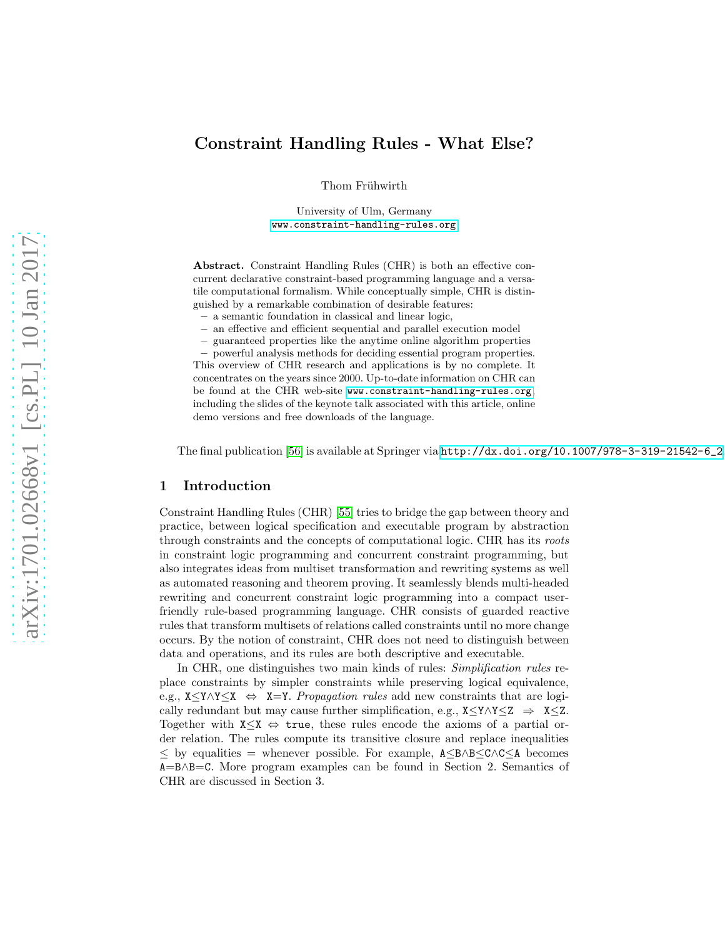# Constraint Handling Rules - What Else?

Thom Frühwirth

University of Ulm, Germany <www.constraint-handling-rules.org>

Abstract. Constraint Handling Rules (CHR) is both an effective concurrent declarative constraint-based programming language and a versatile computational formalism. While conceptually simple, CHR is distinguished by a remarkable combination of desirable features:

– a semantic foundation in classical and linear logic,

– an effective and efficient sequential and parallel execution model

– guaranteed properties like the anytime online algorithm properties

– powerful analysis methods for deciding essential program properties. This overview of CHR research and applications is by no complete. It concentrates on the years since 2000. Up-to-date information on CHR can be found at the CHR web-site <www.constraint-handling-rules.org>, including the slides of the keynote talk associated with this article, online demo versions and free downloads of the language.

The final publication [\[56\]](#page-17-0) is available at Springer via [http://dx.doi.org/10.1007/978-3-319-21542-6\\_2](http://dx.doi.org/10.1007/978-3-319-21542-6_2).

## 1 Introduction

Constraint Handling Rules (CHR) [\[55\]](#page-17-1) tries to bridge the gap between theory and practice, between logical specification and executable program by abstraction through constraints and the concepts of computational logic. CHR has its roots in constraint logic programming and concurrent constraint programming, but also integrates ideas from multiset transformation and rewriting systems as well as automated reasoning and theorem proving. It seamlessly blends multi-headed rewriting and concurrent constraint logic programming into a compact userfriendly rule-based programming language. CHR consists of guarded reactive rules that transform multisets of relations called constraints until no more change occurs. By the notion of constraint, CHR does not need to distinguish between data and operations, and its rules are both descriptive and executable.

In CHR, one distinguishes two main kinds of rules: *Simplification rules* replace constraints by simpler constraints while preserving logical equivalence, e.g., X≤Y∧Y≤X  $\Leftrightarrow$  X=Y. Propagation rules add new constraints that are logically redundant but may cause further simplification, e.g.,  $X \leq Y \wedge Y \leq Z$   $\Rightarrow X \leq Z$ . Together with  $X \leq X$   $\Leftrightarrow$  true, these rules encode the axioms of a partial order relation. The rules compute its transitive closure and replace inequalities ≤ by equalities = whenever possible. For example, A≤B∧B≤C∧C≤A becomes A=B∧B=C. More program examples can be found in Section 2. Semantics of CHR are discussed in Section 3.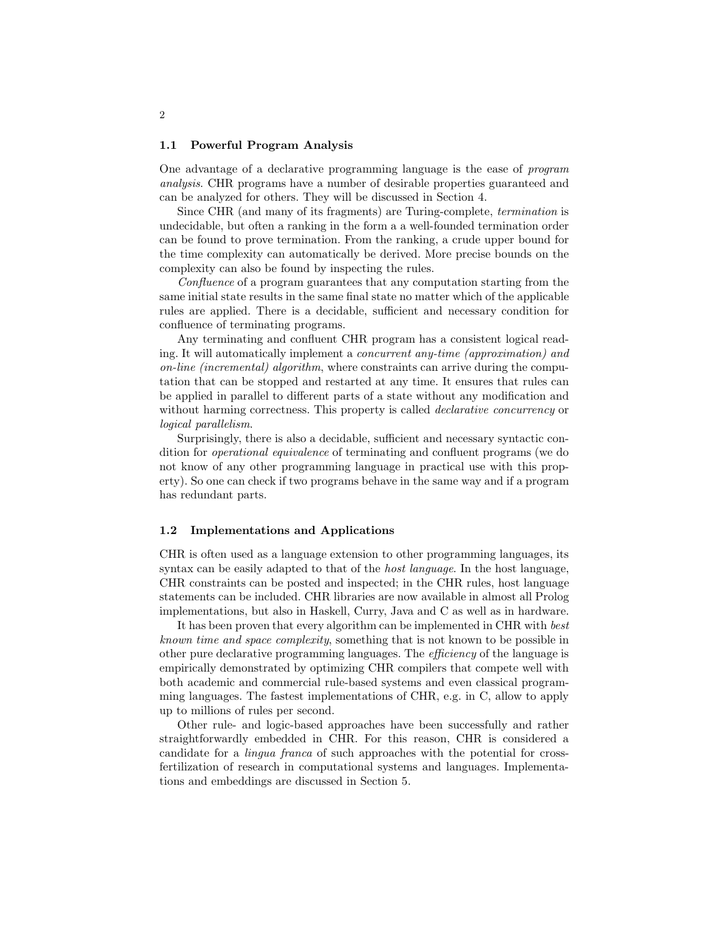#### 1.1 Powerful Program Analysis

One advantage of a declarative programming language is the ease of program analysis. CHR programs have a number of desirable properties guaranteed and can be analyzed for others. They will be discussed in Section 4.

Since CHR (and many of its fragments) are Turing-complete, termination is undecidable, but often a ranking in the form a a well-founded termination order can be found to prove termination. From the ranking, a crude upper bound for the time complexity can automatically be derived. More precise bounds on the complexity can also be found by inspecting the rules.

Confluence of a program guarantees that any computation starting from the same initial state results in the same final state no matter which of the applicable rules are applied. There is a decidable, sufficient and necessary condition for confluence of terminating programs.

Any terminating and confluent CHR program has a consistent logical reading. It will automatically implement a concurrent any-time (approximation) and on-line (incremental) algorithm, where constraints can arrive during the computation that can be stopped and restarted at any time. It ensures that rules can be applied in parallel to different parts of a state without any modification and without harming correctness. This property is called *declarative concurrency* or logical parallelism.

Surprisingly, there is also a decidable, sufficient and necessary syntactic condition for operational equivalence of terminating and confluent programs (we do not know of any other programming language in practical use with this property). So one can check if two programs behave in the same way and if a program has redundant parts.

#### 1.2 Implementations and Applications

CHR is often used as a language extension to other programming languages, its syntax can be easily adapted to that of the host language. In the host language, CHR constraints can be posted and inspected; in the CHR rules, host language statements can be included. CHR libraries are now available in almost all Prolog implementations, but also in Haskell, Curry, Java and C as well as in hardware.

It has been proven that every algorithm can be implemented in CHR with best known time and space complexity, something that is not known to be possible in other pure declarative programming languages. The efficiency of the language is empirically demonstrated by optimizing CHR compilers that compete well with both academic and commercial rule-based systems and even classical programming languages. The fastest implementations of CHR, e.g. in C, allow to apply up to millions of rules per second.

Other rule- and logic-based approaches have been successfully and rather straightforwardly embedded in CHR. For this reason, CHR is considered a candidate for a lingua franca of such approaches with the potential for crossfertilization of research in computational systems and languages. Implementations and embeddings are discussed in Section 5.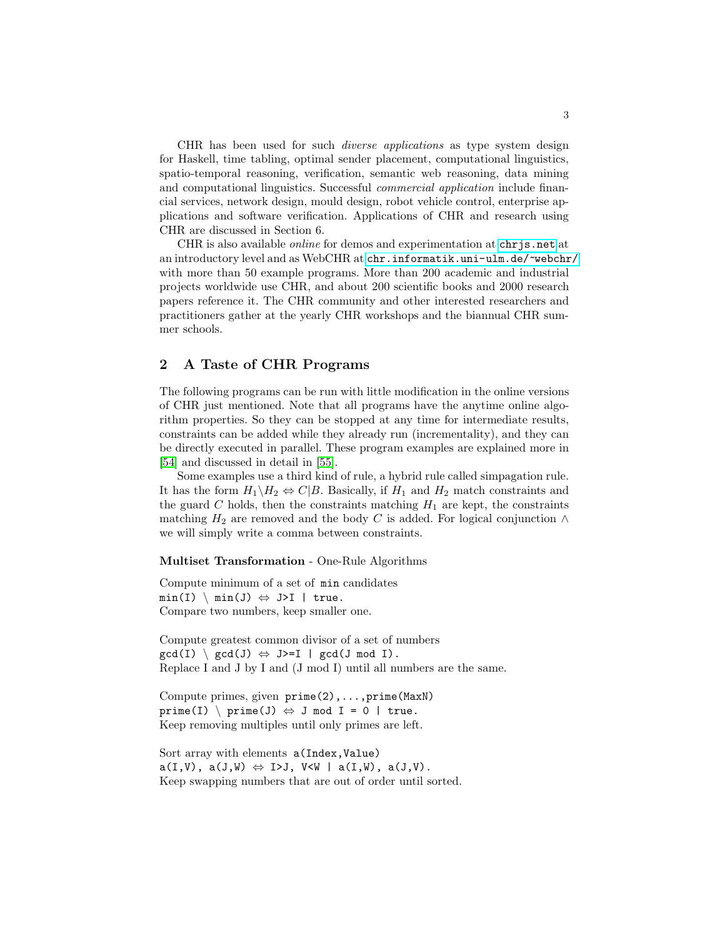CHR has been used for such diverse applications as type system design for Haskell, time tabling, optimal sender placement, computational linguistics, spatio-temporal reasoning, verification, semantic web reasoning, data mining and computational linguistics. Successful commercial application include financial services, network design, mould design, robot vehicle control, enterprise applications and software verification. Applications of CHR and research using CHR are discussed in Section 6.

CHR is also available *online* for demos and experimentation at chr is net at an introductory level and as WebCHR at <chr.informatik.uni-ulm.de/~webchr/> with more than 50 example programs. More than 200 academic and industrial projects worldwide use CHR, and about 200 scientific books and 2000 research papers reference it. The CHR community and other interested researchers and practitioners gather at the yearly CHR workshops and the biannual CHR summer schools.

## 2 A Taste of CHR Programs

The following programs can be run with little modification in the online versions of CHR just mentioned. Note that all programs have the anytime online algorithm properties. So they can be stopped at any time for intermediate results, constraints can be added while they already run (incrementality), and they can be directly executed in parallel. These program examples are explained more in [\[54\]](#page-17-2) and discussed in detail in [\[55\]](#page-17-1).

Some examples use a third kind of rule, a hybrid rule called simpagation rule. It has the form  $H_1 \backslash H_2 \Leftrightarrow C|B$ . Basically, if  $H_1$  and  $H_2$  match constraints and the guard  $C$  holds, then the constraints matching  $H_1$  are kept, the constraints matching  $H_2$  are removed and the body C is added. For logical conjunction  $\wedge$ we will simply write a comma between constraints.

#### Multiset Transformation - One-Rule Algorithms

Compute minimum of a set of min candidates  $min(I) \setminus min(J) \Leftrightarrow J>I \vert true.$ Compare two numbers, keep smaller one.

Compute greatest common divisor of a set of numbers  $gcd(I) \setminus gcd(J) \Leftrightarrow J>=I | gcd(J \mod I).$ Replace I and J by I and (J mod I) until all numbers are the same.

Compute primes, given prime(2),...,prime(MaxN)  $prime(I) \setminus prime(J) \Leftrightarrow J \mod I = 0 \mid true.$ Keep removing multiples until only primes are left.

Sort array with elements  $a(Index,Value)$  $a(I,V)$ ,  $a(J,W) \Leftrightarrow I>J$ ,  $V\leq W \mid a(I,W)$ ,  $a(J,V)$ . Keep swapping numbers that are out of order until sorted.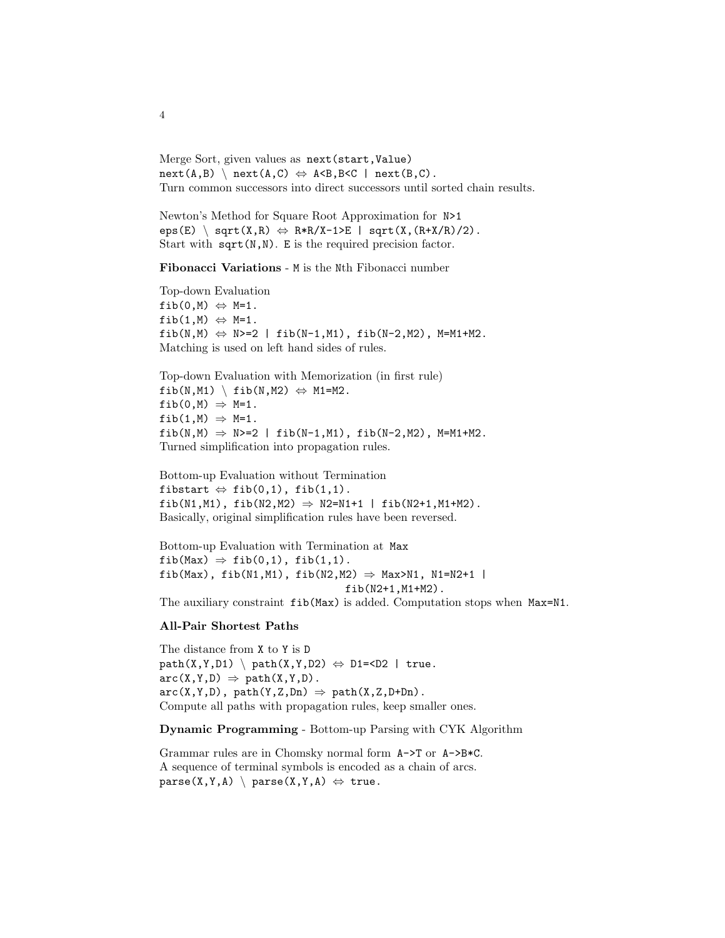Merge Sort, given values as next(start,Value)  $next(A,B) \setminus next(A,C) \Leftrightarrow A\leq B, B\leq C \mid next(B,C).$ Turn common successors into direct successors until sorted chain results.

Newton's Method for Square Root Approximation for N>1  $eps(E) \setminus sqrt(X,R) \Leftrightarrow R*A/X-1>E \mid sqrt(X,(R+X/R)/2)$ . Start with  $sqrt(N,N)$ . E is the required precision factor.

Fibonacci Variations - M is the Nth Fibonacci number

```
Top-down Evaluation
fib(0,M) \Leftrightarrow M=1.fib(1,M) \Leftrightarrow M=1.fib(N,M) ⇔ N>=2 | fib(N-1,M1), fib(N-2,M2), M=M1+M2.
Matching is used on left hand sides of rules.
```

```
Top-down Evaluation with Memorization (in first rule)
fib(N,M1) \setminus fib(N,M2) \Leftrightarrow M1=M2.fib(0,M) \Rightarrow M=1.fib(1,M) \Rightarrow M=1.fib(N,M) \Rightarrow N>=2 \mid fib(N-1,M1), fib(N-2,M2), M=M1+M2.Turned simplification into propagation rules.
```

```
Bottom-up Evaluation without Termination
fibstart \Leftrightarrow fib(0,1), fib(1,1).
fib(M1,M1), fib(M2,M2) \Rightarrow N2=N1+1 | fib(M2+1,M1+M2).
Basically, original simplification rules have been reversed.
```
Bottom-up Evaluation with Termination at Max  $fib Max)$   $\Rightarrow fib(0,1)$ ,  $fib(1,1)$ . fib(Max), fib(N1,M1), fib(N2,M2)  $\Rightarrow$  Max>N1, N1=N2+1 | fib(N2+1,M1+M2).

The auxiliary constraint fib(Max) is added. Computation stops when Max=N1.

## All-Pair Shortest Paths

The distance from X to Y is D  $path(X, Y, D1)$  \ path $(X, Y, D2)$   $\Leftrightarrow$  D1=<D2 | true.  $arc(X,Y,D) \Rightarrow path(X,Y,D)$ .  $arc(X,Y,D)$ ,  $path(Y,Z,Dn) \Rightarrow path(X,Z,D+Dn)$ . Compute all paths with propagation rules, keep smaller ones.

Dynamic Programming - Bottom-up Parsing with CYK Algorithm

Grammar rules are in Chomsky normal form A->T or A->B\*C. A sequence of terminal symbols is encoded as a chain of arcs.  $parse(X, Y, A) \setminus parse(X, Y, A) \Leftrightarrow true.$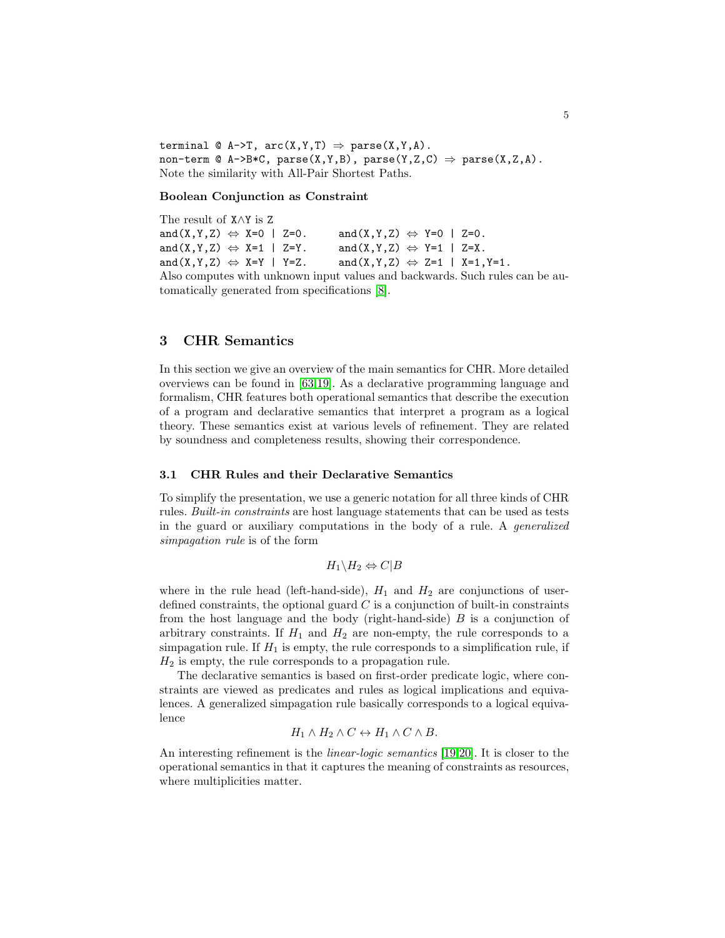terminal  $\mathbb{O}$  A->T, arc(X,Y,T)  $\Rightarrow$  parse(X,Y,A). non-term  $\mathbb Q$  A->B\*C, parse(X,Y,B), parse(Y,Z,C)  $\Rightarrow$  parse(X,Z,A). Note the similarity with All-Pair Shortest Paths.

## Boolean Conjunction as Constraint

```
The result of X∧Y is Z
and(X,Y,Z) \Leftrightarrow X=0 | Z=0. and(X,Y,Z) \Leftrightarrow Y=0 | Z=0.
and(X,Y,Z) \Leftrightarrow X=1 | Z=Y. and(X,Y,Z) \Leftrightarrow Y=1 | Z=X.
and(X,Y,Z) \Leftrightarrow X=Y | Y=Z. and(X,Y,Z) \Leftrightarrow Z=1 | X=1,Y=1.
```
Also computes with unknown input values and backwards. Such rules can be automatically generated from specifications [\[8\]](#page-15-0).

## 3 CHR Semantics

In this section we give an overview of the main semantics for CHR. More detailed overviews can be found in [\[63,](#page-18-0)[19\]](#page-15-1). As a declarative programming language and formalism, CHR features both operational semantics that describe the execution of a program and declarative semantics that interpret a program as a logical theory. These semantics exist at various levels of refinement. They are related by soundness and completeness results, showing their correspondence.

#### 3.1 CHR Rules and their Declarative Semantics

To simplify the presentation, we use a generic notation for all three kinds of CHR rules. Built-in constraints are host language statements that can be used as tests in the guard or auxiliary computations in the body of a rule. A generalized simpagation rule is of the form

$$
H_1 \backslash H_2 \Leftrightarrow C|B
$$

where in the rule head (left-hand-side),  $H_1$  and  $H_2$  are conjunctions of userdefined constraints, the optional guard  $C$  is a conjunction of built-in constraints from the host language and the body (right-hand-side)  $B$  is a conjunction of arbitrary constraints. If  $H_1$  and  $H_2$  are non-empty, the rule corresponds to a simpagation rule. If  $H_1$  is empty, the rule corresponds to a simplification rule, if  $H_2$  is empty, the rule corresponds to a propagation rule.

The declarative semantics is based on first-order predicate logic, where constraints are viewed as predicates and rules as logical implications and equivalences. A generalized simpagation rule basically corresponds to a logical equivalence

$$
H_1 \wedge H_2 \wedge C \leftrightarrow H_1 \wedge C \wedge B.
$$

An interesting refinement is the linear-logic semantics [\[19,](#page-15-1)[20\]](#page-15-2). It is closer to the operational semantics in that it captures the meaning of constraints as resources, where multiplicities matter.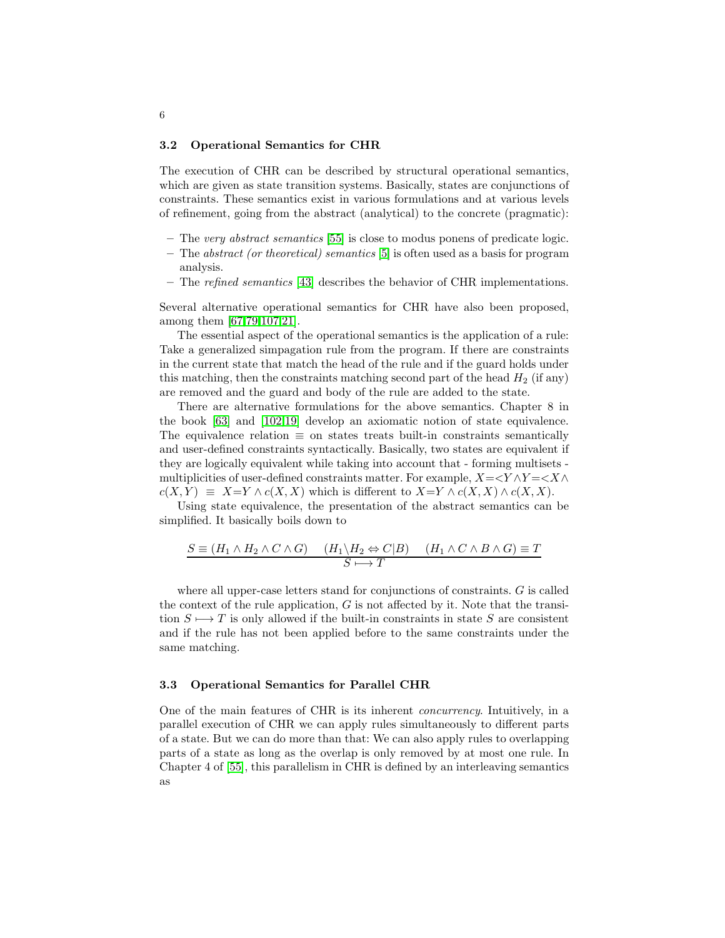#### 3.2 Operational Semantics for CHR

The execution of CHR can be described by structural operational semantics, which are given as state transition systems. Basically, states are conjunctions of constraints. These semantics exist in various formulations and at various levels of refinement, going from the abstract (analytical) to the concrete (pragmatic):

- The very abstract semantics [\[55\]](#page-17-1) is close to modus ponens of predicate logic.
- The abstract (or theoretical) semantics [\[5\]](#page-15-3) is often used as a basis for program analysis.
- $-$  The *refined semantics* [\[43\]](#page-17-3) describes the behavior of CHR implementations.

Several alternative operational semantics for CHR have also been proposed, among them [\[67,](#page-18-1)[79,](#page-18-2)[107](#page-20-0)[,21\]](#page-16-0).

The essential aspect of the operational semantics is the application of a rule: Take a generalized simpagation rule from the program. If there are constraints in the current state that match the head of the rule and if the guard holds under this matching, then the constraints matching second part of the head  $H_2$  (if any) are removed and the guard and body of the rule are added to the state.

There are alternative formulations for the above semantics. Chapter 8 in the book [\[63\]](#page-18-0) and [\[102,](#page-20-1)[19\]](#page-15-1) develop an axiomatic notion of state equivalence. The equivalence relation  $\equiv$  on states treats built-in constraints semantically and user-defined constraints syntactically. Basically, two states are equivalent if they are logically equivalent while taking into account that - forming multisets multiplicities of user-defined constraints matter. For example,  $X = \langle Y \wedge Y = \langle X \wedge Y \rangle$  $c(X, Y) \equiv X=Y \wedge c(X, X)$  which is different to  $X=Y \wedge c(X, X) \wedge c(X, X)$ .

Using state equivalence, the presentation of the abstract semantics can be simplified. It basically boils down to

$$
S \equiv (H_1 \wedge H_2 \wedge C \wedge G) \qquad (H_1 \backslash H_2 \Leftrightarrow C|B) \qquad (H_1 \wedge C \wedge B \wedge G) \equiv T
$$
  

$$
S \longmapsto T
$$

where all upper-case letters stand for conjunctions of constraints. G is called the context of the rule application,  $G$  is not affected by it. Note that the transition  $S \longrightarrow T$  is only allowed if the built-in constraints in state S are consistent and if the rule has not been applied before to the same constraints under the same matching.

#### 3.3 Operational Semantics for Parallel CHR

One of the main features of CHR is its inherent concurrency. Intuitively, in a parallel execution of CHR we can apply rules simultaneously to different parts of a state. But we can do more than that: We can also apply rules to overlapping parts of a state as long as the overlap is only removed by at most one rule. In Chapter 4 of [\[55\]](#page-17-1), this parallelism in CHR is defined by an interleaving semantics as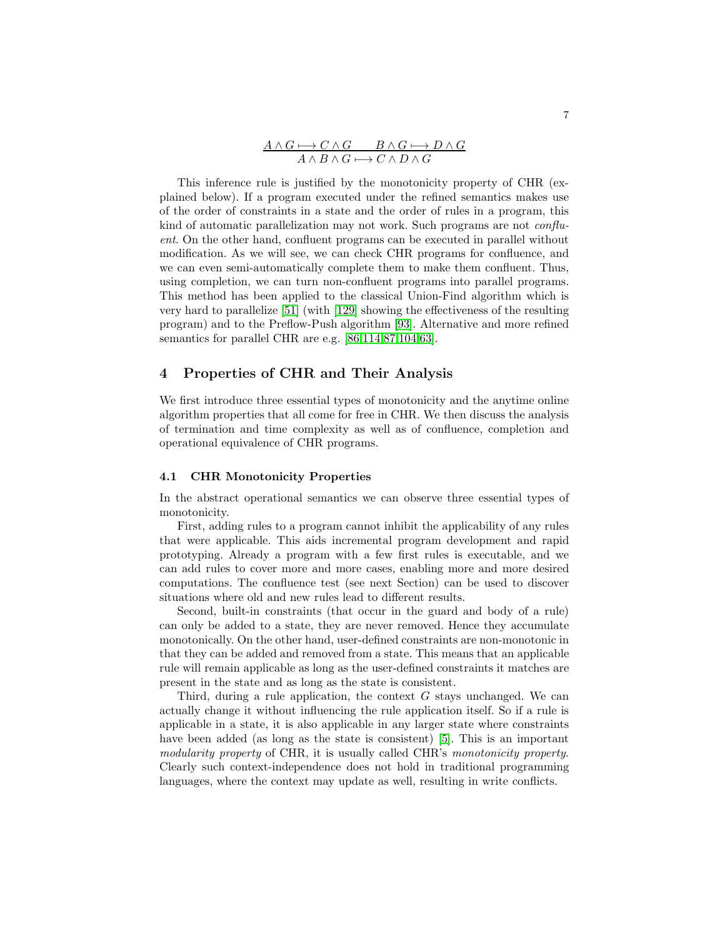$$
\begin{array}{c}\nA \wedge G \longmapsto C \wedge G \qquad B \wedge G \longmapsto D \wedge G \\
A \wedge B \wedge G \longmapsto C \wedge D \wedge G\n\end{array}
$$

This inference rule is justified by the monotonicity property of CHR (explained below). If a program executed under the refined semantics makes use of the order of constraints in a state and the order of rules in a program, this kind of automatic parallelization may not work. Such programs are not  $\text{conflu-}$ ent. On the other hand, confluent programs can be executed in parallel without modification. As we will see, we can check CHR programs for confluence, and we can even semi-automatically complete them to make them confluent. Thus, using completion, we can turn non-confluent programs into parallel programs. This method has been applied to the classical Union-Find algorithm which is very hard to parallelize [\[51\]](#page-17-4) (with [\[129\]](#page-21-0) showing the effectiveness of the resulting program) and to the Preflow-Push algorithm [\[93\]](#page-19-0). Alternative and more refined semantics for parallel CHR are e.g. [\[86,](#page-19-1)[114](#page-20-2)[,87,](#page-19-2)[104,](#page-20-3)[63\]](#page-18-0).

## 4 Properties of CHR and Their Analysis

We first introduce three essential types of monotonicity and the anytime online algorithm properties that all come for free in CHR. We then discuss the analysis of termination and time complexity as well as of confluence, completion and operational equivalence of CHR programs.

#### 4.1 CHR Monotonicity Properties

In the abstract operational semantics we can observe three essential types of monotonicity.

First, adding rules to a program cannot inhibit the applicability of any rules that were applicable. This aids incremental program development and rapid prototyping. Already a program with a few first rules is executable, and we can add rules to cover more and more cases, enabling more and more desired computations. The confluence test (see next Section) can be used to discover situations where old and new rules lead to different results.

Second, built-in constraints (that occur in the guard and body of a rule) can only be added to a state, they are never removed. Hence they accumulate monotonically. On the other hand, user-defined constraints are non-monotonic in that they can be added and removed from a state. This means that an applicable rule will remain applicable as long as the user-defined constraints it matches are present in the state and as long as the state is consistent.

Third, during a rule application, the context  $G$  stays unchanged. We can actually change it without influencing the rule application itself. So if a rule is applicable in a state, it is also applicable in any larger state where constraints have been added (as long as the state is consistent) [\[5\]](#page-15-3). This is an important modularity property of CHR, it is usually called CHR's monotonicity property. Clearly such context-independence does not hold in traditional programming languages, where the context may update as well, resulting in write conflicts.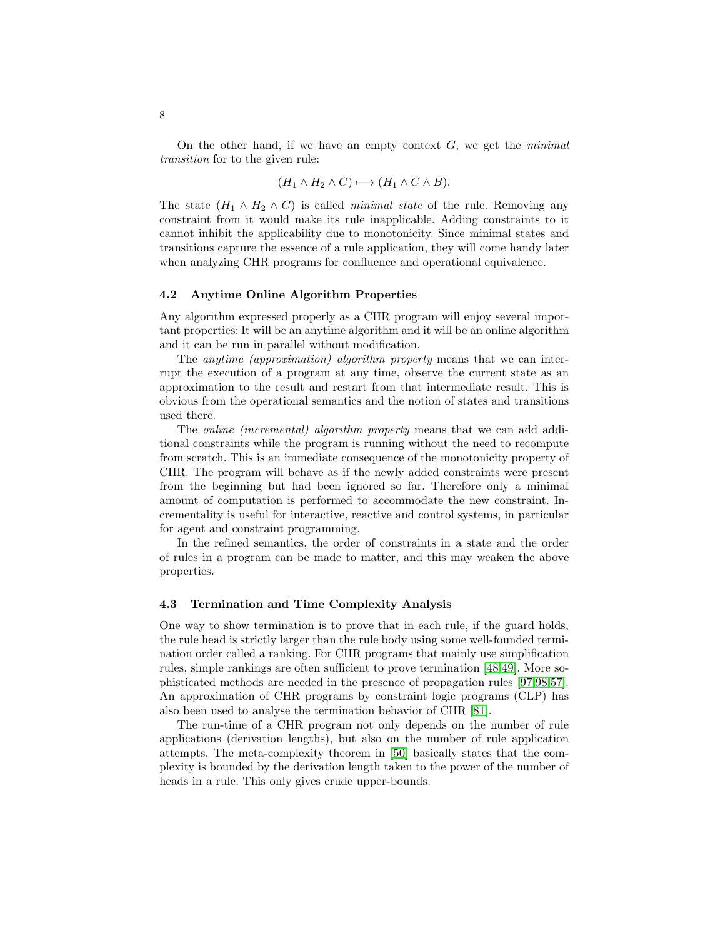On the other hand, if we have an empty context  $G$ , we get the *minimal* transition for to the given rule:

$$
(H_1 \wedge H_2 \wedge C) \longmapsto (H_1 \wedge C \wedge B).
$$

The state  $(H_1 \wedge H_2 \wedge C)$  is called *minimal state* of the rule. Removing any constraint from it would make its rule inapplicable. Adding constraints to it cannot inhibit the applicability due to monotonicity. Since minimal states and transitions capture the essence of a rule application, they will come handy later when analyzing CHR programs for confluence and operational equivalence.

### 4.2 Anytime Online Algorithm Properties

Any algorithm expressed properly as a CHR program will enjoy several important properties: It will be an anytime algorithm and it will be an online algorithm and it can be run in parallel without modification.

The *anytime (approximation) algorithm property* means that we can interrupt the execution of a program at any time, observe the current state as an approximation to the result and restart from that intermediate result. This is obvious from the operational semantics and the notion of states and transitions used there.

The online (incremental) algorithm property means that we can add additional constraints while the program is running without the need to recompute from scratch. This is an immediate consequence of the monotonicity property of CHR. The program will behave as if the newly added constraints were present from the beginning but had been ignored so far. Therefore only a minimal amount of computation is performed to accommodate the new constraint. Incrementality is useful for interactive, reactive and control systems, in particular for agent and constraint programming.

In the refined semantics, the order of constraints in a state and the order of rules in a program can be made to matter, and this may weaken the above properties.

#### 4.3 Termination and Time Complexity Analysis

One way to show termination is to prove that in each rule, if the guard holds, the rule head is strictly larger than the rule body using some well-founded termination order called a ranking. For CHR programs that mainly use simplification rules, simple rankings are often sufficient to prove termination [\[48](#page-17-5)[,49\]](#page-17-6). More sophisticated methods are needed in the presence of propagation rules [\[97](#page-20-4)[,98](#page-20-5)[,57\]](#page-17-7). An approximation of CHR programs by constraint logic programs (CLP) has also been used to analyse the termination behavior of CHR [\[81\]](#page-19-3).

The run-time of a CHR program not only depends on the number of rule applications (derivation lengths), but also on the number of rule application attempts. The meta-complexity theorem in [\[50\]](#page-17-8) basically states that the complexity is bounded by the derivation length taken to the power of the number of heads in a rule. This only gives crude upper-bounds.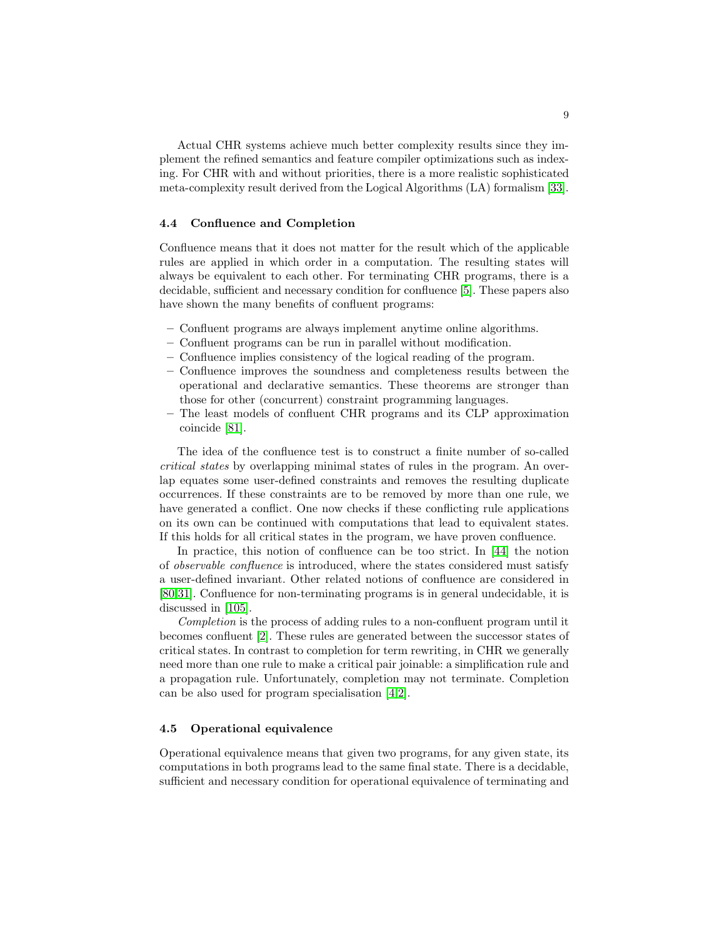Actual CHR systems achieve much better complexity results since they implement the refined semantics and feature compiler optimizations such as indexing. For CHR with and without priorities, there is a more realistic sophisticated meta-complexity result derived from the Logical Algorithms (LA) formalism [\[33\]](#page-16-1).

#### 4.4 Confluence and Completion

Confluence means that it does not matter for the result which of the applicable rules are applied in which order in a computation. The resulting states will always be equivalent to each other. For terminating CHR programs, there is a decidable, sufficient and necessary condition for confluence [\[5\]](#page-15-3). These papers also have shown the many benefits of confluent programs:

- Confluent programs are always implement anytime online algorithms.
- Confluent programs can be run in parallel without modification.
- Confluence implies consistency of the logical reading of the program.
- Confluence improves the soundness and completeness results between the operational and declarative semantics. These theorems are stronger than those for other (concurrent) constraint programming languages.
- The least models of confluent CHR programs and its CLP approximation coincide [\[81\]](#page-19-3).

The idea of the confluence test is to construct a finite number of so-called critical states by overlapping minimal states of rules in the program. An overlap equates some user-defined constraints and removes the resulting duplicate occurrences. If these constraints are to be removed by more than one rule, we have generated a conflict. One now checks if these conflicting rule applications on its own can be continued with computations that lead to equivalent states. If this holds for all critical states in the program, we have proven confluence.

In practice, this notion of confluence can be too strict. In [\[44\]](#page-17-9) the notion of observable confluence is introduced, where the states considered must satisfy a user-defined invariant. Other related notions of confluence are considered in [\[80](#page-19-4)[,31\]](#page-16-2). Confluence for non-terminating programs is in general undecidable, it is discussed in [\[105\]](#page-20-6).

Completion is the process of adding rules to a non-confluent program until it becomes confluent [\[2\]](#page-14-0). These rules are generated between the successor states of critical states. In contrast to completion for term rewriting, in CHR we generally need more than one rule to make a critical pair joinable: a simplification rule and a propagation rule. Unfortunately, completion may not terminate. Completion can be also used for program specialisation [\[4](#page-15-4)[,2\]](#page-14-0).

## 4.5 Operational equivalence

Operational equivalence means that given two programs, for any given state, its computations in both programs lead to the same final state. There is a decidable, sufficient and necessary condition for operational equivalence of terminating and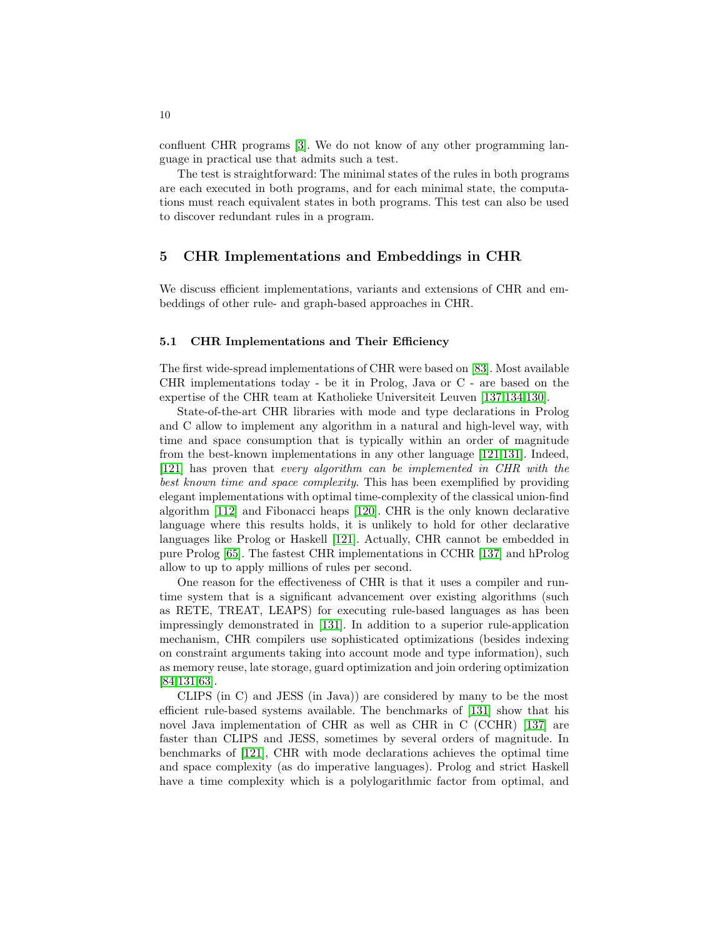confluent CHR programs [\[3\]](#page-14-1). We do not know of any other programming language in practical use that admits such a test.

The test is straightforward: The minimal states of the rules in both programs are each executed in both programs, and for each minimal state, the computations must reach equivalent states in both programs. This test can also be used to discover redundant rules in a program.

## 5 CHR Implementations and Embeddings in CHR

We discuss efficient implementations, variants and extensions of CHR and embeddings of other rule- and graph-based approaches in CHR.

### 5.1 CHR Implementations and Their Efficiency

The first wide-spread implementations of CHR were based on [\[83\]](#page-19-5). Most available CHR implementations today - be it in Prolog, Java or C - are based on the expertise of the CHR team at Katholieke Universiteit Leuven [\[137,](#page-22-0)[134,](#page-21-1)[130\]](#page-21-2).

State-of-the-art CHR libraries with mode and type declarations in Prolog and C allow to implement any algorithm in a natural and high-level way, with time and space consumption that is typically within an order of magnitude from the best-known implementations in any other language [\[121,](#page-21-3)[131\]](#page-21-4). Indeed, [\[121\]](#page-21-3) has proven that every algorithm can be implemented in CHR with the best known time and space complexity. This has been exemplified by providing elegant implementations with optimal time-complexity of the classical union-find algorithm [\[112\]](#page-20-7) and Fibonacci heaps [\[120\]](#page-21-5). CHR is the only known declarative language where this results holds, it is unlikely to hold for other declarative languages like Prolog or Haskell [\[121\]](#page-21-3). Actually, CHR cannot be embedded in pure Prolog [\[65\]](#page-18-3). The fastest CHR implementations in CCHR [\[137\]](#page-22-0) and hProlog allow to up to apply millions of rules per second.

One reason for the effectiveness of CHR is that it uses a compiler and runtime system that is a significant advancement over existing algorithms (such as RETE, TREAT, LEAPS) for executing rule-based languages as has been impressingly demonstrated in [\[131\]](#page-21-4). In addition to a superior rule-application mechanism, CHR compilers use sophisticated optimizations (besides indexing on constraint arguments taking into account mode and type information), such as memory reuse, late storage, guard optimization and join ordering optimization [\[84](#page-19-6)[,131](#page-21-4)[,63\]](#page-18-0).

CLIPS (in C) and JESS (in Java)) are considered by many to be the most efficient rule-based systems available. The benchmarks of [\[131\]](#page-21-4) show that his novel Java implementation of CHR as well as CHR in C (CCHR) [\[137\]](#page-22-0) are faster than CLIPS and JESS, sometimes by several orders of magnitude. In benchmarks of [\[121\]](#page-21-3), CHR with mode declarations achieves the optimal time and space complexity (as do imperative languages). Prolog and strict Haskell have a time complexity which is a polylogarithmic factor from optimal, and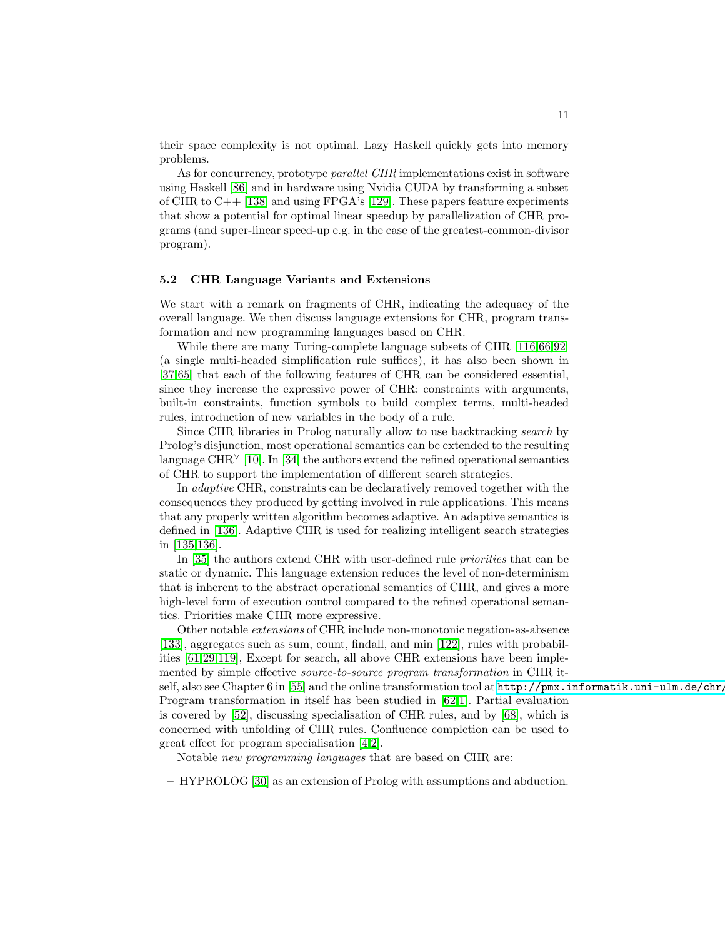their space complexity is not optimal. Lazy Haskell quickly gets into memory problems.

As for concurrency, prototype *parallel CHR* implementations exist in software using Haskell [\[86\]](#page-19-1) and in hardware using Nvidia CUDA by transforming a subset of CHR to C++ [\[138\]](#page-22-1) and using FPGA's [\[129\]](#page-21-0). These papers feature experiments that show a potential for optimal linear speedup by parallelization of CHR programs (and super-linear speed-up e.g. in the case of the greatest-common-divisor program).

## 5.2 CHR Language Variants and Extensions

We start with a remark on fragments of CHR, indicating the adequacy of the overall language. We then discuss language extensions for CHR, program transformation and new programming languages based on CHR.

While there are many Turing-complete language subsets of CHR [\[116](#page-21-6)[,66,](#page-18-4)[92\]](#page-19-7) (a single multi-headed simplification rule suffices), it has also been shown in [\[37](#page-16-3)[,65\]](#page-18-3) that each of the following features of CHR can be considered essential, since they increase the expressive power of CHR: constraints with arguments, built-in constraints, function symbols to build complex terms, multi-headed rules, introduction of new variables in the body of a rule.

Since CHR libraries in Prolog naturally allow to use backtracking search by Prolog's disjunction, most operational semantics can be extended to the resulting language CHR<sup> $\vee$ </sup> [\[10\]](#page-15-5). In [\[34\]](#page-16-4) the authors extend the refined operational semantics of CHR to support the implementation of different search strategies.

In adaptive CHR, constraints can be declaratively removed together with the consequences they produced by getting involved in rule applications. This means that any properly written algorithm becomes adaptive. An adaptive semantics is defined in [\[136\]](#page-22-2). Adaptive CHR is used for realizing intelligent search strategies in [\[135,](#page-21-7)[136\]](#page-22-2).

In [\[35\]](#page-16-5) the authors extend CHR with user-defined rule priorities that can be static or dynamic. This language extension reduces the level of non-determinism that is inherent to the abstract operational semantics of CHR, and gives a more high-level form of execution control compared to the refined operational semantics. Priorities make CHR more expressive.

Other notable extensions of CHR include non-monotonic negation-as-absence [\[133\]](#page-21-8), aggregates such as sum, count, findall, and min [\[122\]](#page-21-9), rules with probabilities [\[61](#page-18-5)[,29](#page-16-6)[,119\]](#page-21-10), Except for search, all above CHR extensions have been implemented by simple effective *source-to-source program transformation* in CHR it-self, also see Chapter 6 in [\[55\]](#page-17-1) and the online transformation tool at  $\text{http://pmx.informatik.uni-ulm.de/chr}$ . Program transformation in itself has been studied in [\[62,](#page-18-6)[1\]](#page-14-2). Partial evaluation is covered by [\[52\]](#page-17-10), discussing specialisation of CHR rules, and by [\[68\]](#page-18-7), which is concerned with unfolding of CHR rules. Confluence completion can be used to great effect for program specialisation [\[4](#page-15-4)[,2\]](#page-14-0).

Notable new programming languages that are based on CHR are:

– HYPROLOG [\[30\]](#page-16-7) as an extension of Prolog with assumptions and abduction.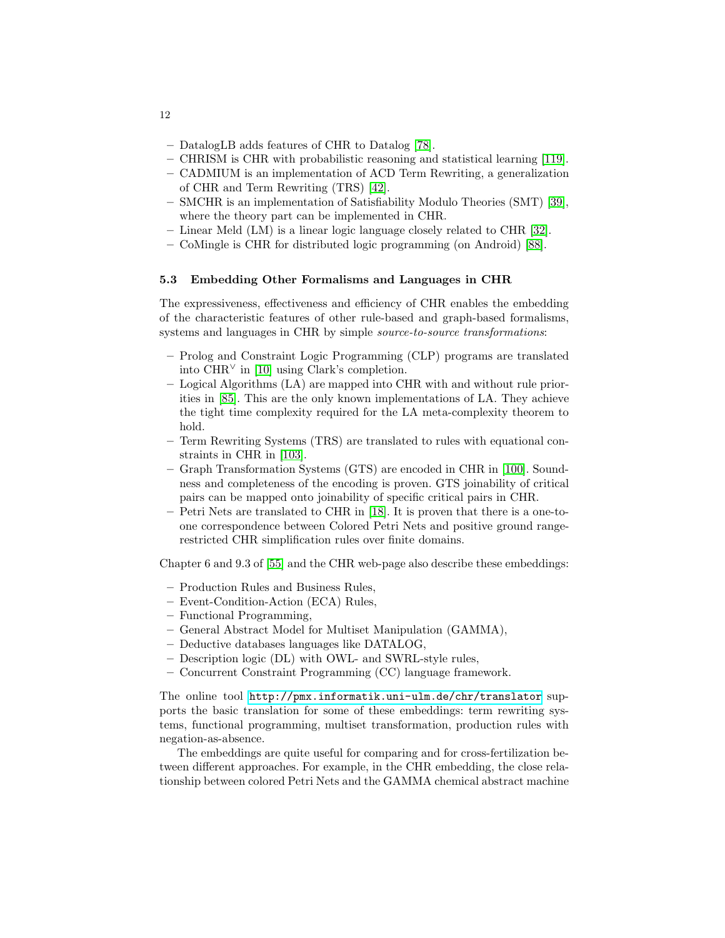- DatalogLB adds features of CHR to Datalog [\[78\]](#page-18-8).
- CHRISM is CHR with probabilistic reasoning and statistical learning [\[119\]](#page-21-10).
- CADMIUM is an implementation of ACD Term Rewriting, a generalization of CHR and Term Rewriting (TRS) [\[42\]](#page-17-11).
- SMCHR is an implementation of Satisfiability Modulo Theories (SMT) [39], where the theory part can be implemented in CHR.
- Linear Meld (LM) is a linear logic language closely related to CHR [\[32\]](#page-16-8).
- CoMingle is CHR for distributed logic programming (on Android) [\[88\]](#page-19-8).

#### 5.3 Embedding Other Formalisms and Languages in CHR

The expressiveness, effectiveness and efficiency of CHR enables the embedding of the characteristic features of other rule-based and graph-based formalisms, systems and languages in CHR by simple *source-to-source transformations*:

- Prolog and Constraint Logic Programming (CLP) programs are translated into  $CHR^{\vee}$  in [\[10\]](#page-15-5) using Clark's completion.
- Logical Algorithms (LA) are mapped into CHR with and without rule priorities in [\[85\]](#page-19-9). This are the only known implementations of LA. They achieve the tight time complexity required for the LA meta-complexity theorem to hold.
- Term Rewriting Systems (TRS) are translated to rules with equational constraints in CHR in [\[103\]](#page-20-8).
- Graph Transformation Systems (GTS) are encoded in CHR in [\[100\]](#page-20-9). Soundness and completeness of the encoding is proven. GTS joinability of critical pairs can be mapped onto joinability of specific critical pairs in CHR.
- Petri Nets are translated to CHR in [\[18\]](#page-15-6). It is proven that there is a one-toone correspondence between Colored Petri Nets and positive ground rangerestricted CHR simplification rules over finite domains.

Chapter 6 and 9.3 of [\[55\]](#page-17-1) and the CHR web-page also describe these embeddings:

- Production Rules and Business Rules,
- Event-Condition-Action (ECA) Rules,
- Functional Programming,
- General Abstract Model for Multiset Manipulation (GAMMA),
- Deductive databases languages like DATALOG,
- Description logic (DL) with OWL- and SWRL-style rules,
- Concurrent Constraint Programming (CC) language framework.

The online tool <http://pmx.informatik.uni-ulm.de/chr/translator> supports the basic translation for some of these embeddings: term rewriting systems, functional programming, multiset transformation, production rules with negation-as-absence.

The embeddings are quite useful for comparing and for cross-fertilization between different approaches. For example, in the CHR embedding, the close relationship between colored Petri Nets and the GAMMA chemical abstract machine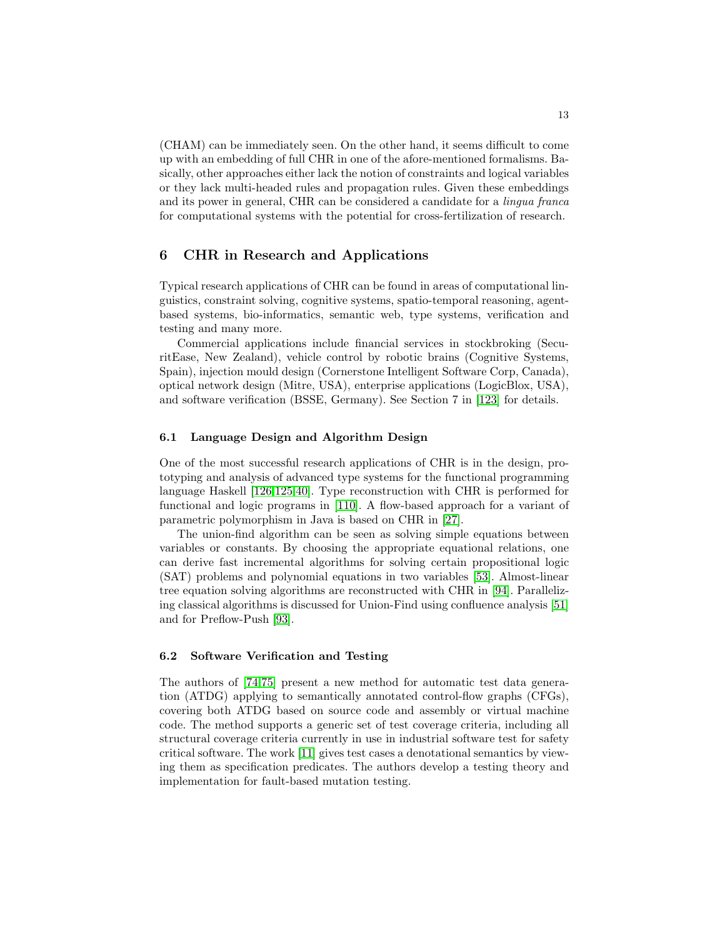(CHAM) can be immediately seen. On the other hand, it seems difficult to come up with an embedding of full CHR in one of the afore-mentioned formalisms. Basically, other approaches either lack the notion of constraints and logical variables or they lack multi-headed rules and propagation rules. Given these embeddings and its power in general, CHR can be considered a candidate for a lingua franca for computational systems with the potential for cross-fertilization of research.

## 6 CHR in Research and Applications

Typical research applications of CHR can be found in areas of computational linguistics, constraint solving, cognitive systems, spatio-temporal reasoning, agentbased systems, bio-informatics, semantic web, type systems, verification and testing and many more.

Commercial applications include financial services in stockbroking (SecuritEase, New Zealand), vehicle control by robotic brains (Cognitive Systems, Spain), injection mould design (Cornerstone Intelligent Software Corp, Canada), optical network design (Mitre, USA), enterprise applications (LogicBlox, USA), and software verification (BSSE, Germany). See Section 7 in [\[123\]](#page-21-11) for details.

### 6.1 Language Design and Algorithm Design

One of the most successful research applications of CHR is in the design, prototyping and analysis of advanced type systems for the functional programming language Haskell [\[126](#page-21-12)[,125,](#page-21-13)40]. Type reconstruction with CHR is performed for functional and logic programs in [\[110\]](#page-20-10). A flow-based approach for a variant of parametric polymorphism in Java is based on CHR in [\[27\]](#page-16-9).

The union-find algorithm can be seen as solving simple equations between variables or constants. By choosing the appropriate equational relations, one can derive fast incremental algorithms for solving certain propositional logic (SAT) problems and polynomial equations in two variables [\[53\]](#page-17-12). Almost-linear tree equation solving algorithms are reconstructed with CHR in [\[94\]](#page-19-10). Parallelizing classical algorithms is discussed for Union-Find using confluence analysis [\[51\]](#page-17-4) and for Preflow-Push [\[93\]](#page-19-0).

## 6.2 Software Verification and Testing

The authors of [\[74,](#page-18-9)[75\]](#page-18-10) present a new method for automatic test data generation (ATDG) applying to semantically annotated control-flow graphs (CFGs), covering both ATDG based on source code and assembly or virtual machine code. The method supports a generic set of test coverage criteria, including all structural coverage criteria currently in use in industrial software test for safety critical software. The work [\[11\]](#page-15-7) gives test cases a denotational semantics by viewing them as specification predicates. The authors develop a testing theory and implementation for fault-based mutation testing.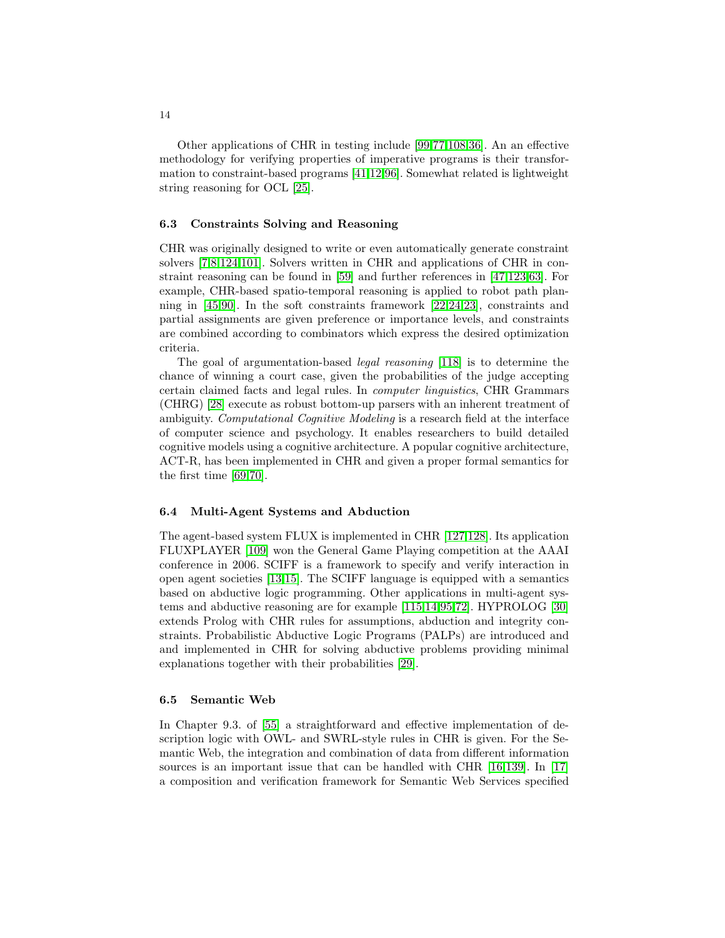Other applications of CHR in testing include [\[99,](#page-20-11)[77,](#page-18-11)[108](#page-20-12)[,36\]](#page-16-10). An an effective methodology for verifying properties of imperative programs is their transformation to constraint-based programs [41[,12](#page-15-8)[,96\]](#page-19-11). Somewhat related is lightweight string reasoning for OCL [\[25\]](#page-16-11).

#### 6.3 Constraints Solving and Reasoning

CHR was originally designed to write or even automatically generate constraint solvers [\[7](#page-15-9)[,8,](#page-15-0)[124,](#page-21-14)[101\]](#page-20-13). Solvers written in CHR and applications of CHR in constraint reasoning can be found in [\[59\]](#page-17-13) and further references in [\[47](#page-17-14)[,123](#page-21-11)[,63\]](#page-18-0). For example, CHR-based spatio-temporal reasoning is applied to robot path planning in [\[45](#page-17-15)[,90\]](#page-19-12). In the soft constraints framework [\[22,](#page-16-12)24[,23\]](#page-16-13), constraints and partial assignments are given preference or importance levels, and constraints are combined according to combinators which express the desired optimization criteria.

The goal of argumentation-based legal reasoning [\[118\]](#page-21-15) is to determine the chance of winning a court case, given the probabilities of the judge accepting certain claimed facts and legal rules. In computer linguistics, CHR Grammars (CHRG) [\[28\]](#page-16-14) execute as robust bottom-up parsers with an inherent treatment of ambiguity. Computational Cognitive Modeling is a research field at the interface of computer science and psychology. It enables researchers to build detailed cognitive models using a cognitive architecture. A popular cognitive architecture, ACT-R, has been implemented in CHR and given a proper formal semantics for the first time [\[69,](#page-18-12)[70\]](#page-18-13).

#### 6.4 Multi-Agent Systems and Abduction

The agent-based system FLUX is implemented in CHR [\[127](#page-21-16)[,128\]](#page-21-17). Its application FLUXPLAYER [\[109\]](#page-20-14) won the General Game Playing competition at the AAAI conference in 2006. SCIFF is a framework to specify and verify interaction in open agent societies [\[13,](#page-15-10)[15\]](#page-15-11). The SCIFF language is equipped with a semantics based on abductive logic programming. Other applications in multi-agent systems and abductive reasoning are for example [\[115](#page-21-18)[,14](#page-15-12)[,95,](#page-19-13)[72\]](#page-18-14). HYPROLOG [\[30\]](#page-16-7) extends Prolog with CHR rules for assumptions, abduction and integrity constraints. Probabilistic Abductive Logic Programs (PALPs) are introduced and and implemented in CHR for solving abductive problems providing minimal explanations together with their probabilities [\[29\]](#page-16-6).

#### 6.5 Semantic Web

In Chapter 9.3. of [\[55\]](#page-17-1) a straightforward and effective implementation of description logic with OWL- and SWRL-style rules in CHR is given. For the Semantic Web, the integration and combination of data from different information sources is an important issue that can be handled with CHR [\[16,](#page-15-13)[139\]](#page-22-3). In [\[17\]](#page-15-14) a composition and verification framework for Semantic Web Services specified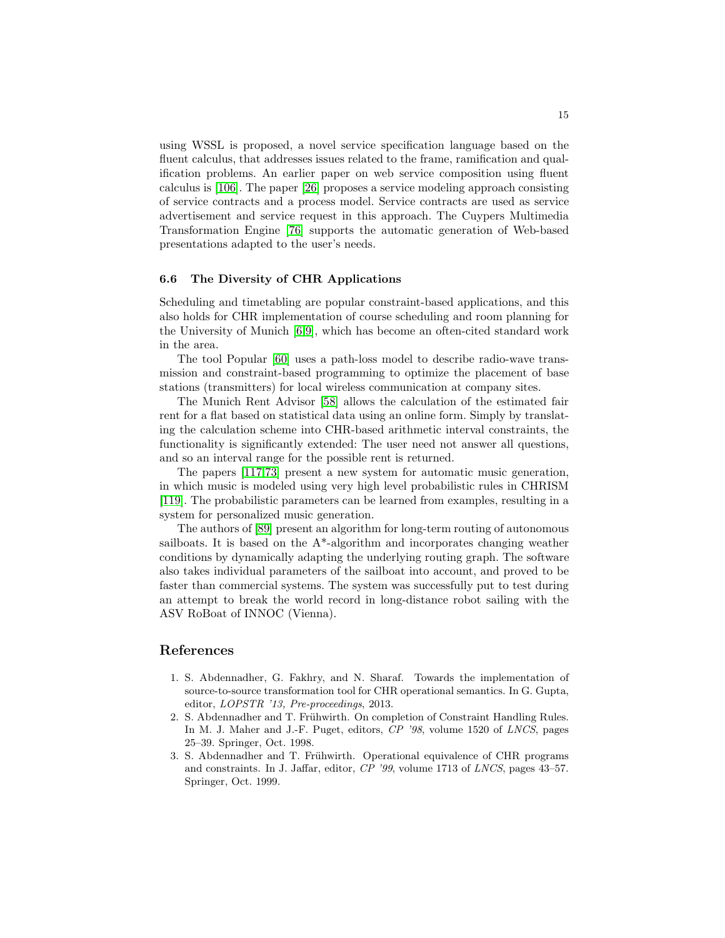using WSSL is proposed, a novel service specification language based on the fluent calculus, that addresses issues related to the frame, ramification and qualification problems. An earlier paper on web service composition using fluent calculus is [\[106\]](#page-20-15). The paper [\[26\]](#page-16-15) proposes a service modeling approach consisting of service contracts and a process model. Service contracts are used as service advertisement and service request in this approach. The Cuypers Multimedia Transformation Engine [\[76\]](#page-18-15) supports the automatic generation of Web-based presentations adapted to the user's needs.

#### 6.6 The Diversity of CHR Applications

Scheduling and timetabling are popular constraint-based applications, and this also holds for CHR implementation of course scheduling and room planning for the University of Munich [\[6](#page-15-15)[,9\]](#page-15-16), which has become an often-cited standard work in the area.

The tool Popular [\[60\]](#page-18-16) uses a path-loss model to describe radio-wave transmission and constraint-based programming to optimize the placement of base stations (transmitters) for local wireless communication at company sites.

The Munich Rent Advisor [\[58\]](#page-17-16) allows the calculation of the estimated fair rent for a flat based on statistical data using an online form. Simply by translating the calculation scheme into CHR-based arithmetic interval constraints, the functionality is significantly extended: The user need not answer all questions, and so an interval range for the possible rent is returned.

The papers [\[117](#page-21-19)[,73\]](#page-18-17) present a new system for automatic music generation, in which music is modeled using very high level probabilistic rules in CHRISM [\[119\]](#page-21-10). The probabilistic parameters can be learned from examples, resulting in a system for personalized music generation.

The authors of [\[89\]](#page-19-14) present an algorithm for long-term routing of autonomous sailboats. It is based on the A\*-algorithm and incorporates changing weather conditions by dynamically adapting the underlying routing graph. The software also takes individual parameters of the sailboat into account, and proved to be faster than commercial systems. The system was successfully put to test during an attempt to break the world record in long-distance robot sailing with the ASV RoBoat of INNOC (Vienna).

## <span id="page-14-2"></span>References

- 1. S. Abdennadher, G. Fakhry, and N. Sharaf. Towards the implementation of source-to-source transformation tool for CHR operational semantics. In G. Gupta, editor, *LOPSTR '13, Pre-proceedings*, 2013.
- <span id="page-14-0"></span>2. S. Abdennadher and T. Frühwirth. On completion of Constraint Handling Rules. In M. J. Maher and J.-F. Puget, editors, *CP '98*, volume 1520 of *LNCS*, pages 25–39. Springer, Oct. 1998.
- <span id="page-14-1"></span>3. S. Abdennadher and T. Frühwirth. Operational equivalence of CHR programs and constraints. In J. Jaffar, editor, *CP '99*, volume 1713 of *LNCS*, pages 43–57. Springer, Oct. 1999.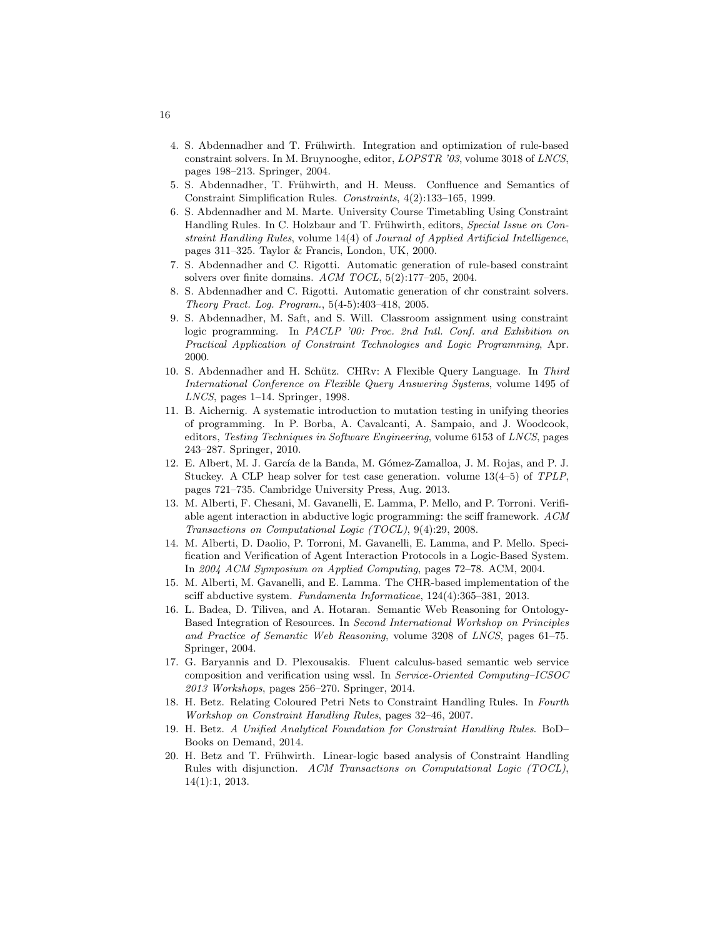- <span id="page-15-4"></span>4. S. Abdennadher and T. Frühwirth. Integration and optimization of rule-based constraint solvers. In M. Bruynooghe, editor, *LOPSTR '03*, volume 3018 of *LNCS*, pages 198–213. Springer, 2004.
- <span id="page-15-15"></span><span id="page-15-3"></span>5. S. Abdennadher, T. Frühwirth, and H. Meuss. Confluence and Semantics of Constraint Simplification Rules. *Constraints*, 4(2):133–165, 1999.
- 6. S. Abdennadher and M. Marte. University Course Timetabling Using Constraint Handling Rules. In C. Holzbaur and T. Frühwirth, editors, *Special Issue on Constraint Handling Rules*, volume 14(4) of *Journal of Applied Artificial Intelligence*, pages 311–325. Taylor & Francis, London, UK, 2000.
- <span id="page-15-9"></span>7. S. Abdennadher and C. Rigotti. Automatic generation of rule-based constraint solvers over finite domains. *ACM TOCL*, 5(2):177–205, 2004.
- <span id="page-15-0"></span>8. S. Abdennadher and C. Rigotti. Automatic generation of chr constraint solvers. *Theory Pract. Log. Program.*, 5(4-5):403–418, 2005.
- <span id="page-15-16"></span>9. S. Abdennadher, M. Saft, and S. Will. Classroom assignment using constraint logic programming. In *PACLP '00: Proc. 2nd Intl. Conf. and Exhibition on Practical Application of Constraint Technologies and Logic Programming*, Apr. 2000.
- <span id="page-15-5"></span>10. S. Abdennadher and H. Sch¨utz. CHRv: A Flexible Query Language. In *Third International Conference on Flexible Query Answering Systems*, volume 1495 of *LNCS*, pages 1–14. Springer, 1998.
- <span id="page-15-7"></span>11. B. Aichernig. A systematic introduction to mutation testing in unifying theories of programming. In P. Borba, A. Cavalcanti, A. Sampaio, and J. Woodcook, editors, *Testing Techniques in Software Engineering*, volume 6153 of *LNCS*, pages 243–287. Springer, 2010.
- <span id="page-15-8"></span>12. E. Albert, M. J. García de la Banda, M. Gómez-Zamalloa, J. M. Rojas, and P. J. Stuckey. A CLP heap solver for test case generation. volume 13(4–5) of *TPLP*, pages 721–735. Cambridge University Press, Aug. 2013.
- <span id="page-15-10"></span>13. M. Alberti, F. Chesani, M. Gavanelli, E. Lamma, P. Mello, and P. Torroni. Verifiable agent interaction in abductive logic programming: the sciff framework. *ACM Transactions on Computational Logic (TOCL)*, 9(4):29, 2008.
- <span id="page-15-12"></span>14. M. Alberti, D. Daolio, P. Torroni, M. Gavanelli, E. Lamma, and P. Mello. Specification and Verification of Agent Interaction Protocols in a Logic-Based System. In *2004 ACM Symposium on Applied Computing*, pages 72–78. ACM, 2004.
- <span id="page-15-11"></span>15. M. Alberti, M. Gavanelli, and E. Lamma. The CHR-based implementation of the sciff abductive system. *Fundamenta Informaticae*, 124(4):365–381, 2013.
- <span id="page-15-13"></span>16. L. Badea, D. Tilivea, and A. Hotaran. Semantic Web Reasoning for Ontology-Based Integration of Resources. In *Second International Workshop on Principles and Practice of Semantic Web Reasoning*, volume 3208 of *LNCS*, pages 61–75. Springer, 2004.
- <span id="page-15-14"></span>17. G. Baryannis and D. Plexousakis. Fluent calculus-based semantic web service composition and verification using wssl. In *Service-Oriented Computing–ICSOC 2013 Workshops*, pages 256–270. Springer, 2014.
- <span id="page-15-6"></span>18. H. Betz. Relating Coloured Petri Nets to Constraint Handling Rules. In *Fourth Workshop on Constraint Handling Rules*, pages 32–46, 2007.
- <span id="page-15-1"></span>19. H. Betz. *A Unified Analytical Foundation for Constraint Handling Rules*. BoD– Books on Demand, 2014.
- <span id="page-15-2"></span>20. H. Betz and T. Frühwirth. Linear-logic based analysis of Constraint Handling Rules with disjunction. *ACM Transactions on Computational Logic (TOCL)*, 14(1):1, 2013.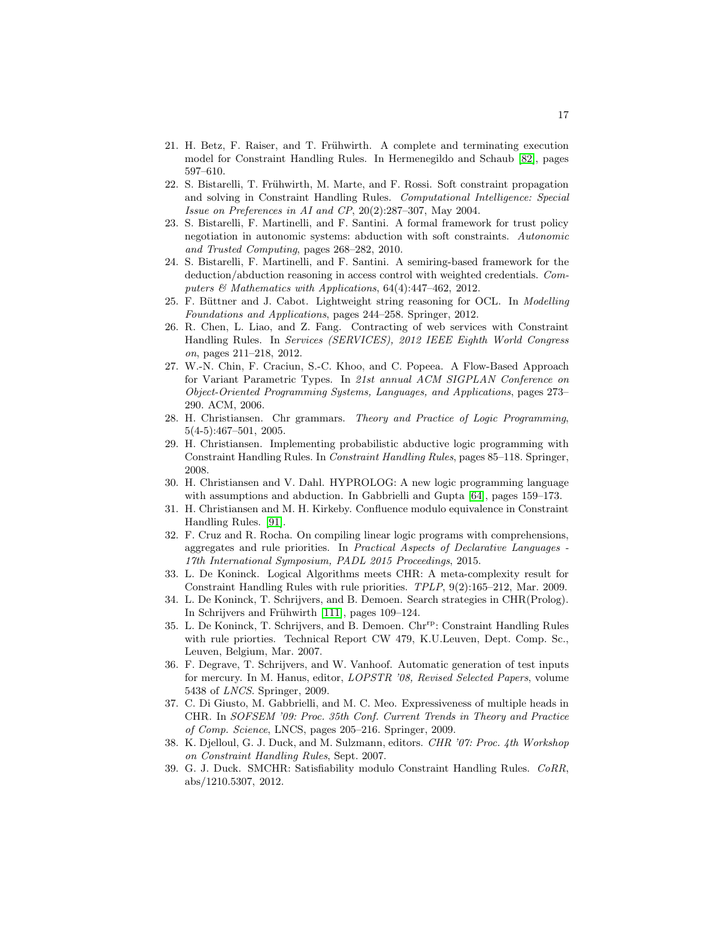- <span id="page-16-0"></span>21. H. Betz, F. Raiser, and T. Frühwirth. A complete and terminating execution model for Constraint Handling Rules. In Hermenegildo and Schaub [\[82\]](#page-19-15), pages 597–610.
- <span id="page-16-12"></span>22. S. Bistarelli, T. Frühwirth, M. Marte, and F. Rossi. Soft constraint propagation and solving in Constraint Handling Rules. *Computational Intelligence: Special Issue on Preferences in AI and CP*, 20(2):287–307, May 2004.
- <span id="page-16-13"></span>23. S. Bistarelli, F. Martinelli, and F. Santini. A formal framework for trust policy negotiation in autonomic systems: abduction with soft constraints. *Autonomic and Trusted Computing*, pages 268–282, 2010.
- 24. S. Bistarelli, F. Martinelli, and F. Santini. A semiring-based framework for the deduction/abduction reasoning in access control with weighted credentials. *Computers & Mathematics with Applications*, 64(4):447–462, 2012.
- <span id="page-16-15"></span><span id="page-16-11"></span>25. F. Büttner and J. Cabot. Lightweight string reasoning for OCL. In *Modelling Foundations and Applications*, pages 244–258. Springer, 2012.
- 26. R. Chen, L. Liao, and Z. Fang. Contracting of web services with Constraint Handling Rules. In *Services (SERVICES), 2012 IEEE Eighth World Congress on*, pages 211–218, 2012.
- <span id="page-16-9"></span>27. W.-N. Chin, F. Craciun, S.-C. Khoo, and C. Popeea. A Flow-Based Approach for Variant Parametric Types. In *21st annual ACM SIGPLAN Conference on Object-Oriented Programming Systems, Languages, and Applications*, pages 273– 290. ACM, 2006.
- <span id="page-16-14"></span>28. H. Christiansen. Chr grammars. *Theory and Practice of Logic Programming*, 5(4-5):467–501, 2005.
- <span id="page-16-6"></span>29. H. Christiansen. Implementing probabilistic abductive logic programming with Constraint Handling Rules. In *Constraint Handling Rules*, pages 85–118. Springer, 2008.
- <span id="page-16-7"></span>30. H. Christiansen and V. Dahl. HYPROLOG: A new logic programming language with assumptions and abduction. In Gabbrielli and Gupta [\[64\]](#page-18-18), pages 159–173.
- <span id="page-16-2"></span>31. H. Christiansen and M. H. Kirkeby. Confluence modulo equivalence in Constraint Handling Rules. [\[91\]](#page-19-16).
- <span id="page-16-8"></span>32. F. Cruz and R. Rocha. On compiling linear logic programs with comprehensions, aggregates and rule priorities. In *Practical Aspects of Declarative Languages - 17th International Symposium, PADL 2015 Proceedings*, 2015.
- <span id="page-16-1"></span>33. L. De Koninck. Logical Algorithms meets CHR: A meta-complexity result for Constraint Handling Rules with rule priorities. *TPLP*, 9(2):165–212, Mar. 2009.
- <span id="page-16-4"></span>34. L. De Koninck, T. Schrijvers, and B. Demoen. Search strategies in CHR(Prolog). In Schrijvers and Frühwirth [\[111\]](#page-20-16), pages 109–124.
- <span id="page-16-5"></span>35. L. De Koninck, T. Schrijvers, and B. Demoen. Chr<sup>rp</sup>: Constraint Handling Rules with rule priorties. Technical Report CW 479, K.U.Leuven, Dept. Comp. Sc., Leuven, Belgium, Mar. 2007.
- <span id="page-16-10"></span>36. F. Degrave, T. Schrijvers, and W. Vanhoof. Automatic generation of test inputs for mercury. In M. Hanus, editor, *LOPSTR '08, Revised Selected Papers*, volume 5438 of *LNCS*. Springer, 2009.
- <span id="page-16-3"></span>37. C. Di Giusto, M. Gabbrielli, and M. C. Meo. Expressiveness of multiple heads in CHR. In *SOFSEM '09: Proc. 35th Conf. Current Trends in Theory and Practice of Comp. Science*, LNCS, pages 205–216. Springer, 2009.
- <span id="page-16-16"></span>38. K. Djelloul, G. J. Duck, and M. Sulzmann, editors. *CHR '07: Proc. 4th Workshop on Constraint Handling Rules*, Sept. 2007.
- 39. G. J. Duck. SMCHR: Satisfiability modulo Constraint Handling Rules. *CoRR*, abs/1210.5307, 2012.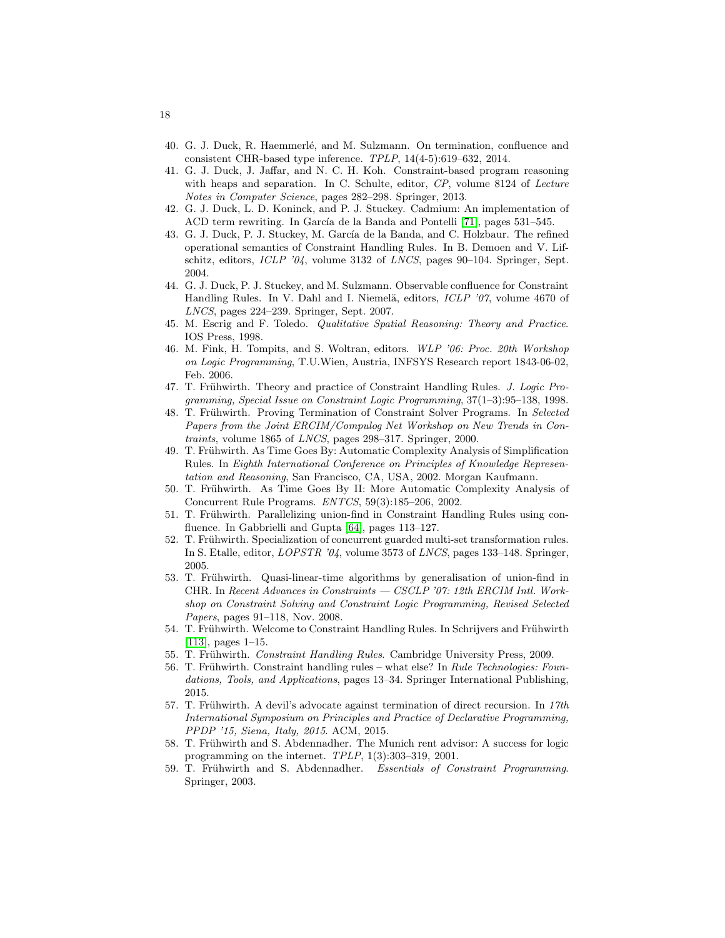- 40. G. J. Duck, R. Haemmerlé, and M. Sulzmann. On termination, confluence and consistent CHR-based type inference. *TPLP*, 14(4-5):619–632, 2014.
- 41. G. J. Duck, J. Jaffar, and N. C. H. Koh. Constraint-based program reasoning with heaps and separation. In C. Schulte, editor, *CP*, volume 8124 of *Lecture Notes in Computer Science*, pages 282–298. Springer, 2013.
- <span id="page-17-11"></span>42. G. J. Duck, L. D. Koninck, and P. J. Stuckey. Cadmium: An implementation of ACD term rewriting. In García de la Banda and Pontelli [\[71\]](#page-18-19), pages 531–545.
- <span id="page-17-3"></span>43. G. J. Duck, P. J. Stuckey, M. García de la Banda, and C. Holzbaur. The refined operational semantics of Constraint Handling Rules. In B. Demoen and V. Lifschitz, editors, *ICLP '04*, volume 3132 of *LNCS*, pages 90–104. Springer, Sept. 2004.
- <span id="page-17-9"></span>44. G. J. Duck, P. J. Stuckey, and M. Sulzmann. Observable confluence for Constraint Handling Rules. In V. Dahl and I. Niemelä, editors, *ICLP '07*, volume 4670 of *LNCS*, pages 224–239. Springer, Sept. 2007.
- <span id="page-17-15"></span>45. M. Escrig and F. Toledo. *Qualitative Spatial Reasoning: Theory and Practice*. IOS Press, 1998.
- <span id="page-17-17"></span>46. M. Fink, H. Tompits, and S. Woltran, editors. *WLP '06: Proc. 20th Workshop on Logic Programming*, T.U.Wien, Austria, INFSYS Research report 1843-06-02, Feb. 2006.
- <span id="page-17-14"></span>47. T. Fr¨uhwirth. Theory and practice of Constraint Handling Rules. *J. Logic Programming, Special Issue on Constraint Logic Programming*, 37(1–3):95–138, 1998.
- <span id="page-17-5"></span>48. T. Fr¨uhwirth. Proving Termination of Constraint Solver Programs. In *Selected Papers from the Joint ERCIM/Compulog Net Workshop on New Trends in Contraints*, volume 1865 of *LNCS*, pages 298–317. Springer, 2000.
- <span id="page-17-6"></span>49. T. Frühwirth. As Time Goes By: Automatic Complexity Analysis of Simplification Rules. In *Eighth International Conference on Principles of Knowledge Representation and Reasoning*, San Francisco, CA, USA, 2002. Morgan Kaufmann.
- <span id="page-17-8"></span>50. T. Frühwirth. As Time Goes By II: More Automatic Complexity Analysis of Concurrent Rule Programs. *ENTCS*, 59(3):185–206, 2002.
- <span id="page-17-4"></span>51. T. Frühwirth. Parallelizing union-find in Constraint Handling Rules using confluence. In Gabbrielli and Gupta [\[64\]](#page-18-18), pages 113–127.
- <span id="page-17-10"></span>52. T. Frühwirth. Specialization of concurrent guarded multi-set transformation rules. In S. Etalle, editor, *LOPSTR '04*, volume 3573 of *LNCS*, pages 133–148. Springer, 2005.
- <span id="page-17-12"></span>53. T. Frühwirth. Quasi-linear-time algorithms by generalisation of union-find in CHR. In *Recent Advances in Constraints — CSCLP '07: 12th ERCIM Intl. Workshop on Constraint Solving and Constraint Logic Programming, Revised Selected Papers*, pages 91–118, Nov. 2008.
- <span id="page-17-2"></span>54. T. Frühwirth. Welcome to Constraint Handling Rules. In Schrijvers and Frühwirth [\[113\]](#page-20-17), pages 1–15.
- <span id="page-17-1"></span><span id="page-17-0"></span>55. T. Frühwirth. *Constraint Handling Rules*. Cambridge University Press, 2009.
- 56. T. Frühwirth. Constraint handling rules what else? In *Rule Technologies: Foundations, Tools, and Applications*, pages 13–34. Springer International Publishing, 2015.
- <span id="page-17-7"></span>57. T. Fr¨uhwirth. A devil's advocate against termination of direct recursion. In *17th International Symposium on Principles and Practice of Declarative Programming, PPDP '15, Siena, Italy, 2015*. ACM, 2015.
- <span id="page-17-16"></span>58. T. Frühwirth and S. Abdennadher. The Munich rent advisor: A success for logic programming on the internet. *TPLP*, 1(3):303–319, 2001.
- <span id="page-17-13"></span>59. T. Fr¨uhwirth and S. Abdennadher. *Essentials of Constraint Programming*. Springer, 2003.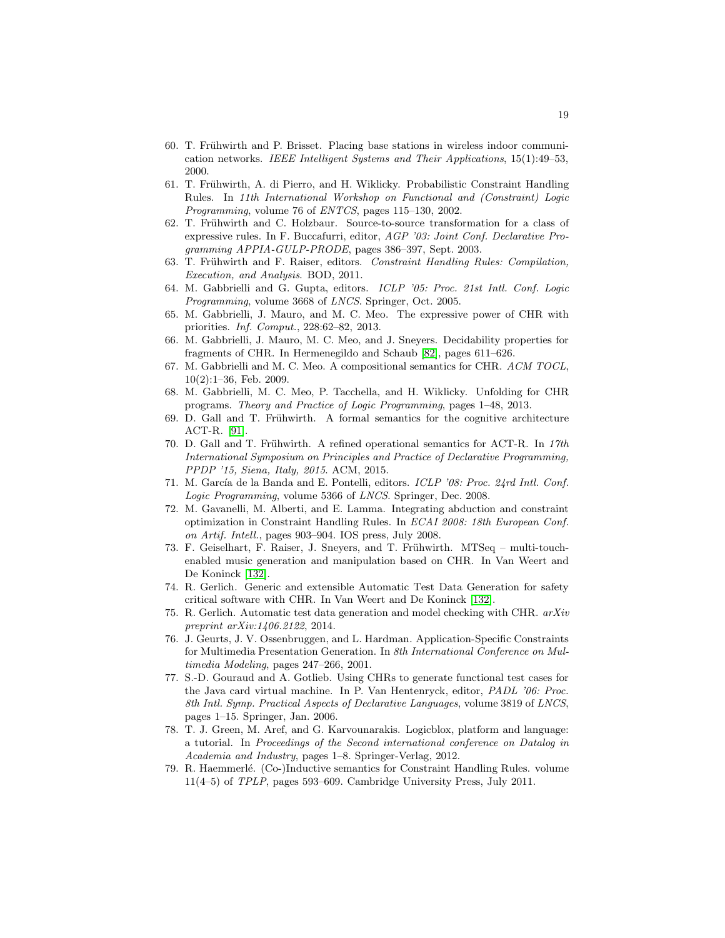- <span id="page-18-16"></span>60. T. Frühwirth and P. Brisset. Placing base stations in wireless indoor communication networks. *IEEE Intelligent Systems and Their Applications*, 15(1):49–53, 2000.
- <span id="page-18-5"></span>61. T. Frühwirth, A. di Pierro, and H. Wiklicky. Probabilistic Constraint Handling Rules. In *11th International Workshop on Functional and (Constraint) Logic Programming*, volume 76 of *ENTCS*, pages 115–130, 2002.
- <span id="page-18-6"></span>62. T. Frühwirth and C. Holzbaur. Source-to-source transformation for a class of expressive rules. In F. Buccafurri, editor, *AGP '03: Joint Conf. Declarative Programming APPIA-GULP-PRODE*, pages 386–397, Sept. 2003.
- <span id="page-18-0"></span>63. T. Fr¨uhwirth and F. Raiser, editors. *Constraint Handling Rules: Compilation, Execution, and Analysis*. BOD, 2011.
- <span id="page-18-18"></span>64. M. Gabbrielli and G. Gupta, editors. *ICLP '05: Proc. 21st Intl. Conf. Logic Programming*, volume 3668 of *LNCS*. Springer, Oct. 2005.
- <span id="page-18-3"></span>65. M. Gabbrielli, J. Mauro, and M. C. Meo. The expressive power of CHR with priorities. *Inf. Comput.*, 228:62–82, 2013.
- <span id="page-18-4"></span>66. M. Gabbrielli, J. Mauro, M. C. Meo, and J. Sneyers. Decidability properties for fragments of CHR. In Hermenegildo and Schaub [\[82\]](#page-19-15), pages 611–626.
- <span id="page-18-1"></span>67. M. Gabbrielli and M. C. Meo. A compositional semantics for CHR. *ACM TOCL*, 10(2):1–36, Feb. 2009.
- <span id="page-18-7"></span>68. M. Gabbrielli, M. C. Meo, P. Tacchella, and H. Wiklicky. Unfolding for CHR programs. *Theory and Practice of Logic Programming*, pages 1–48, 2013.
- <span id="page-18-12"></span>69. D. Gall and T. Frühwirth. A formal semantics for the cognitive architecture ACT-R. [\[91\]](#page-19-16).
- <span id="page-18-13"></span>70. D. Gall and T. Frühwirth. A refined operational semantics for ACT-R. In 17th *International Symposium on Principles and Practice of Declarative Programming, PPDP '15, Siena, Italy, 2015*. ACM, 2015.
- <span id="page-18-19"></span>71. M. García de la Banda and E. Pontelli, editors. *ICLP '08: Proc. 24rd Intl. Conf. Logic Programming*, volume 5366 of *LNCS*. Springer, Dec. 2008.
- <span id="page-18-14"></span>72. M. Gavanelli, M. Alberti, and E. Lamma. Integrating abduction and constraint optimization in Constraint Handling Rules. In *ECAI 2008: 18th European Conf. on Artif. Intell.*, pages 903–904. IOS press, July 2008.
- <span id="page-18-17"></span>73. F. Geiselhart, F. Raiser, J. Sneyers, and T. Frühwirth. MTSeq – multi-touchenabled music generation and manipulation based on CHR. In Van Weert and De Koninck [\[132\]](#page-21-20).
- <span id="page-18-9"></span>74. R. Gerlich. Generic and extensible Automatic Test Data Generation for safety critical software with CHR. In Van Weert and De Koninck [\[132\]](#page-21-20).
- <span id="page-18-10"></span>75. R. Gerlich. Automatic test data generation and model checking with CHR. *arXiv preprint arXiv:1406.2122*, 2014.
- <span id="page-18-15"></span>76. J. Geurts, J. V. Ossenbruggen, and L. Hardman. Application-Specific Constraints for Multimedia Presentation Generation. In *8th International Conference on Multimedia Modeling*, pages 247–266, 2001.
- <span id="page-18-11"></span>77. S.-D. Gouraud and A. Gotlieb. Using CHRs to generate functional test cases for the Java card virtual machine. In P. Van Hentenryck, editor, *PADL '06: Proc. 8th Intl. Symp. Practical Aspects of Declarative Languages*, volume 3819 of *LNCS*, pages 1–15. Springer, Jan. 2006.
- <span id="page-18-8"></span>78. T. J. Green, M. Aref, and G. Karvounarakis. Logicblox, platform and language: a tutorial. In *Proceedings of the Second international conference on Datalog in Academia and Industry*, pages 1–8. Springer-Verlag, 2012.
- <span id="page-18-2"></span>79. R. Haemmerlé. (Co-)Inductive semantics for Constraint Handling Rules. volume 11(4–5) of *TPLP*, pages 593–609. Cambridge University Press, July 2011.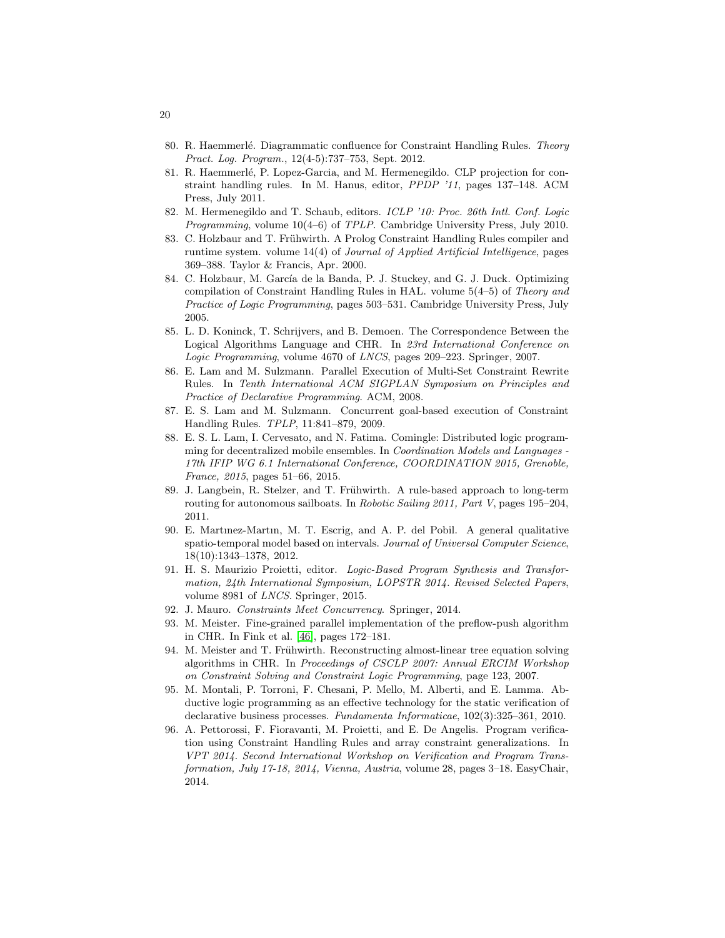- <span id="page-19-4"></span><span id="page-19-3"></span>80. R. Haemmerl´e. Diagrammatic confluence for Constraint Handling Rules. *Theory Pract. Log. Program.*, 12(4-5):737–753, Sept. 2012.
- 81. R. Haemmerlé, P. Lopez-Garcia, and M. Hermenegildo. CLP projection for constraint handling rules. In M. Hanus, editor, *PPDP '11*, pages 137–148. ACM Press, July 2011.
- <span id="page-19-15"></span><span id="page-19-5"></span>82. M. Hermenegildo and T. Schaub, editors. *ICLP '10: Proc. 26th Intl. Conf. Logic Programming*, volume 10(4–6) of *TPLP*. Cambridge University Press, July 2010.
- 83. C. Holzbaur and T. Frühwirth. A Prolog Constraint Handling Rules compiler and runtime system. volume 14(4) of *Journal of Applied Artificial Intelligence*, pages 369–388. Taylor & Francis, Apr. 2000.
- <span id="page-19-6"></span>84. C. Holzbaur, M. García de la Banda, P. J. Stuckey, and G. J. Duck. Optimizing compilation of Constraint Handling Rules in HAL. volume 5(4–5) of *Theory and Practice of Logic Programming*, pages 503–531. Cambridge University Press, July 2005.
- <span id="page-19-9"></span>85. L. D. Koninck, T. Schrijvers, and B. Demoen. The Correspondence Between the Logical Algorithms Language and CHR. In *23rd International Conference on Logic Programming*, volume 4670 of *LNCS*, pages 209–223. Springer, 2007.
- <span id="page-19-1"></span>86. E. Lam and M. Sulzmann. Parallel Execution of Multi-Set Constraint Rewrite Rules. In *Tenth International ACM SIGPLAN Symposium on Principles and Practice of Declarative Programming*. ACM, 2008.
- <span id="page-19-2"></span>87. E. S. Lam and M. Sulzmann. Concurrent goal-based execution of Constraint Handling Rules. *TPLP*, 11:841–879, 2009.
- <span id="page-19-8"></span>88. E. S. L. Lam, I. Cervesato, and N. Fatima. Comingle: Distributed logic programming for decentralized mobile ensembles. In *Coordination Models and Languages - 17th IFIP WG 6.1 International Conference, COORDINATION 2015, Grenoble, France, 2015*, pages 51–66, 2015.
- <span id="page-19-14"></span>89. J. Langbein, R. Stelzer, and T. Frühwirth. A rule-based approach to long-term routing for autonomous sailboats. In *Robotic Sailing 2011, Part V*, pages 195–204, 2011.
- <span id="page-19-12"></span>90. E. Martınez-Martın, M. T. Escrig, and A. P. del Pobil. A general qualitative spatio-temporal model based on intervals. *Journal of Universal Computer Science*, 18(10):1343–1378, 2012.
- <span id="page-19-16"></span>91. H. S. Maurizio Proietti, editor. *Logic-Based Program Synthesis and Transformation, 24th International Symposium, LOPSTR 2014. Revised Selected Papers*, volume 8981 of *LNCS*. Springer, 2015.
- <span id="page-19-7"></span><span id="page-19-0"></span>92. J. Mauro. *Constraints Meet Concurrency*. Springer, 2014.
- 93. M. Meister. Fine-grained parallel implementation of the preflow-push algorithm in CHR. In Fink et al. [\[46\]](#page-17-17), pages 172–181.
- <span id="page-19-10"></span>94. M. Meister and T. Frühwirth. Reconstructing almost-linear tree equation solving algorithms in CHR. In *Proceedings of CSCLP 2007: Annual ERCIM Workshop on Constraint Solving and Constraint Logic Programming*, page 123, 2007.
- <span id="page-19-13"></span>95. M. Montali, P. Torroni, F. Chesani, P. Mello, M. Alberti, and E. Lamma. Abductive logic programming as an effective technology for the static verification of declarative business processes. *Fundamenta Informaticae*, 102(3):325–361, 2010.
- <span id="page-19-11"></span>96. A. Pettorossi, F. Fioravanti, M. Proietti, and E. De Angelis. Program verification using Constraint Handling Rules and array constraint generalizations. In *VPT 2014. Second International Workshop on Verification and Program Transformation, July 17-18, 2014, Vienna, Austria*, volume 28, pages 3–18. EasyChair, 2014.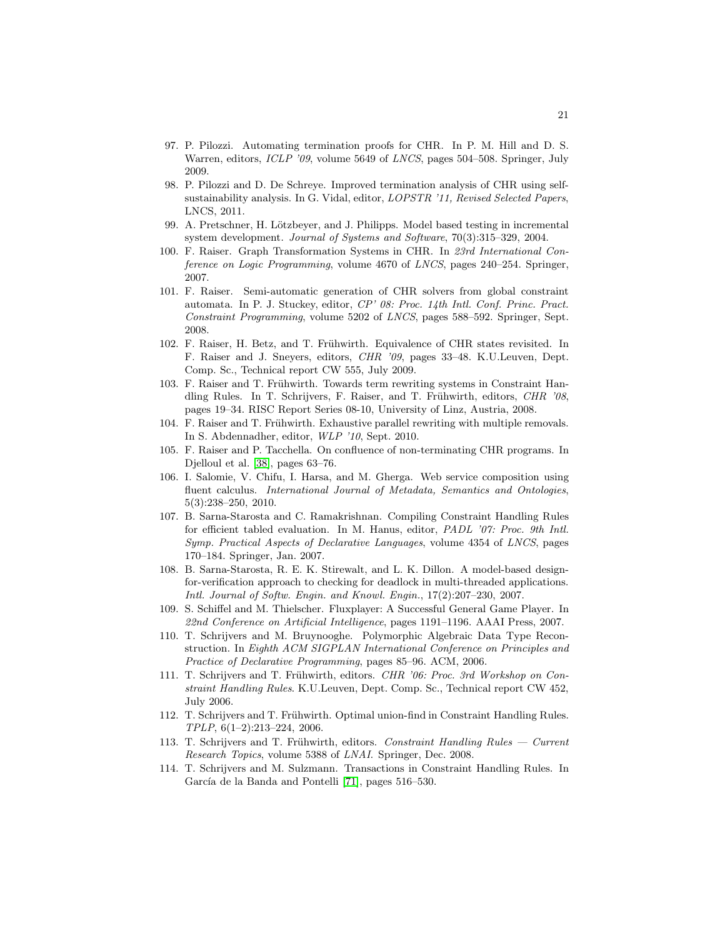- <span id="page-20-4"></span>97. P. Pilozzi. Automating termination proofs for CHR. In P. M. Hill and D. S. Warren, editors, *ICLP '09*, volume 5649 of *LNCS*, pages 504–508. Springer, July 2009.
- <span id="page-20-5"></span>98. P. Pilozzi and D. De Schreye. Improved termination analysis of CHR using selfsustainability analysis. In G. Vidal, editor, *LOPSTR '11, Revised Selected Papers*, LNCS, 2011.
- <span id="page-20-11"></span>99. A. Pretschner, H. Lötzbeyer, and J. Philipps. Model based testing in incremental system development. *Journal of Systems and Software*, 70(3):315–329, 2004.
- <span id="page-20-9"></span>100. F. Raiser. Graph Transformation Systems in CHR. In *23rd International Conference on Logic Programming*, volume 4670 of *LNCS*, pages 240–254. Springer, 2007.
- <span id="page-20-13"></span>101. F. Raiser. Semi-automatic generation of CHR solvers from global constraint automata. In P. J. Stuckey, editor, *CP' 08: Proc. 14th Intl. Conf. Princ. Pract. Constraint Programming*, volume 5202 of *LNCS*, pages 588–592. Springer, Sept. 2008.
- <span id="page-20-1"></span>102. F. Raiser, H. Betz, and T. Frühwirth. Equivalence of CHR states revisited. In F. Raiser and J. Sneyers, editors, *CHR '09*, pages 33–48. K.U.Leuven, Dept. Comp. Sc., Technical report CW 555, July 2009.
- <span id="page-20-8"></span>103. F. Raiser and T. Frühwirth. Towards term rewriting systems in Constraint Handling Rules. In T. Schrijvers, F. Raiser, and T. Frühwirth, editors, *CHR '08*, pages 19–34. RISC Report Series 08-10, University of Linz, Austria, 2008.
- <span id="page-20-3"></span>104. F. Raiser and T. Frühwirth. Exhaustive parallel rewriting with multiple removals. In S. Abdennadher, editor, *WLP '10*, Sept. 2010.
- <span id="page-20-6"></span>105. F. Raiser and P. Tacchella. On confluence of non-terminating CHR programs. In Djelloul et al. [\[38\]](#page-16-16), pages 63–76.
- <span id="page-20-15"></span>106. I. Salomie, V. Chifu, I. Harsa, and M. Gherga. Web service composition using fluent calculus. *International Journal of Metadata, Semantics and Ontologies*, 5(3):238–250, 2010.
- <span id="page-20-0"></span>107. B. Sarna-Starosta and C. Ramakrishnan. Compiling Constraint Handling Rules for efficient tabled evaluation. In M. Hanus, editor, *PADL '07: Proc. 9th Intl. Symp. Practical Aspects of Declarative Languages*, volume 4354 of *LNCS*, pages 170–184. Springer, Jan. 2007.
- <span id="page-20-12"></span>108. B. Sarna-Starosta, R. E. K. Stirewalt, and L. K. Dillon. A model-based designfor-verification approach to checking for deadlock in multi-threaded applications. *Intl. Journal of Softw. Engin. and Knowl. Engin.*, 17(2):207–230, 2007.
- <span id="page-20-14"></span>109. S. Schiffel and M. Thielscher. Fluxplayer: A Successful General Game Player. In *22nd Conference on Artificial Intelligence*, pages 1191–1196. AAAI Press, 2007.
- <span id="page-20-10"></span>110. T. Schrijvers and M. Bruynooghe. Polymorphic Algebraic Data Type Reconstruction. In *Eighth ACM SIGPLAN International Conference on Principles and Practice of Declarative Programming*, pages 85–96. ACM, 2006.
- <span id="page-20-16"></span>111. T. Schrijvers and T. Frühwirth, editors. *CHR '06: Proc. 3rd Workshop on Constraint Handling Rules*. K.U.Leuven, Dept. Comp. Sc., Technical report CW 452, July 2006.
- <span id="page-20-7"></span>112. T. Schrijvers and T. Frühwirth. Optimal union-find in Constraint Handling Rules. *TPLP*, 6(1–2):213–224, 2006.
- <span id="page-20-17"></span>113. T. Schrijvers and T. Frühwirth, editors. *Constraint Handling Rules — Current Research Topics*, volume 5388 of *LNAI*. Springer, Dec. 2008.
- <span id="page-20-2"></span>114. T. Schrijvers and M. Sulzmann. Transactions in Constraint Handling Rules. In García de la Banda and Pontelli [\[71\]](#page-18-19), pages 516–530.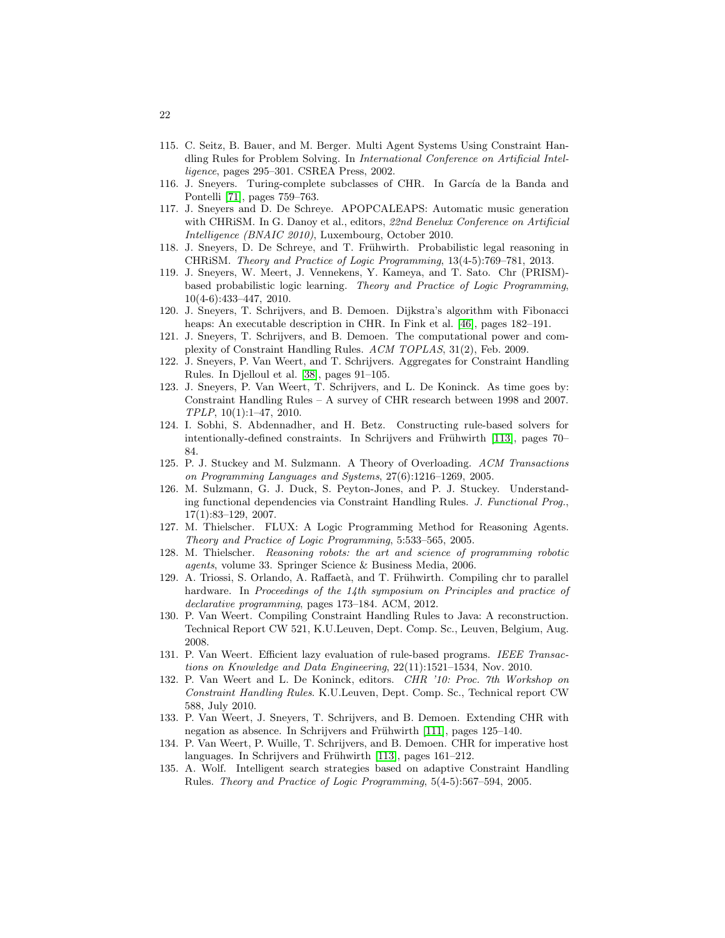- <span id="page-21-18"></span>115. C. Seitz, B. Bauer, and M. Berger. Multi Agent Systems Using Constraint Handling Rules for Problem Solving. In *International Conference on Artificial Intelligence*, pages 295–301. CSREA Press, 2002.
- <span id="page-21-6"></span>116. J. Sneyers. Turing-complete subclasses of CHR. In García de la Banda and Pontelli [\[71\]](#page-18-19), pages 759–763.
- <span id="page-21-19"></span>117. J. Sneyers and D. De Schreye. APOPCALEAPS: Automatic music generation with CHRiSM. In G. Danoy et al., editors, *22nd Benelux Conference on Artificial Intelligence (BNAIC 2010)*, Luxembourg, October 2010.
- <span id="page-21-15"></span>118. J. Sneyers, D. De Schreye, and T. Frühwirth. Probabilistic legal reasoning in CHRiSM. *Theory and Practice of Logic Programming*, 13(4-5):769–781, 2013.
- <span id="page-21-10"></span>119. J. Sneyers, W. Meert, J. Vennekens, Y. Kameya, and T. Sato. Chr (PRISM) based probabilistic logic learning. *Theory and Practice of Logic Programming*, 10(4-6):433–447, 2010.
- <span id="page-21-5"></span>120. J. Sneyers, T. Schrijvers, and B. Demoen. Dijkstra's algorithm with Fibonacci heaps: An executable description in CHR. In Fink et al. [\[46\]](#page-17-17), pages 182–191.
- <span id="page-21-3"></span>121. J. Sneyers, T. Schrijvers, and B. Demoen. The computational power and complexity of Constraint Handling Rules. *ACM TOPLAS*, 31(2), Feb. 2009.
- <span id="page-21-9"></span>122. J. Sneyers, P. Van Weert, and T. Schrijvers. Aggregates for Constraint Handling Rules. In Djelloul et al. [\[38\]](#page-16-16), pages 91–105.
- <span id="page-21-11"></span>123. J. Sneyers, P. Van Weert, T. Schrijvers, and L. De Koninck. As time goes by: Constraint Handling Rules – A survey of CHR research between 1998 and 2007. *TPLP*, 10(1):1–47, 2010.
- <span id="page-21-14"></span>124. I. Sobhi, S. Abdennadher, and H. Betz. Constructing rule-based solvers for intentionally-defined constraints. In Schrijvers and Frühwirth  $[113]$ , pages 70– 84.
- <span id="page-21-13"></span>125. P. J. Stuckey and M. Sulzmann. A Theory of Overloading. *ACM Transactions on Programming Languages and Systems*, 27(6):1216–1269, 2005.
- <span id="page-21-12"></span>126. M. Sulzmann, G. J. Duck, S. Peyton-Jones, and P. J. Stuckey. Understanding functional dependencies via Constraint Handling Rules. *J. Functional Prog.*, 17(1):83–129, 2007.
- <span id="page-21-16"></span>127. M. Thielscher. FLUX: A Logic Programming Method for Reasoning Agents. *Theory and Practice of Logic Programming*, 5:533–565, 2005.
- <span id="page-21-17"></span>128. M. Thielscher. *Reasoning robots: the art and science of programming robotic agents*, volume 33. Springer Science & Business Media, 2006.
- <span id="page-21-0"></span>129. A. Triossi, S. Orlando, A. Raffaetà, and T. Frühwirth. Compiling chr to parallel hardware. In *Proceedings of the 14th symposium on Principles and practice of declarative programming*, pages 173–184. ACM, 2012.
- <span id="page-21-2"></span>130. P. Van Weert. Compiling Constraint Handling Rules to Java: A reconstruction. Technical Report CW 521, K.U.Leuven, Dept. Comp. Sc., Leuven, Belgium, Aug. 2008.
- <span id="page-21-4"></span>131. P. Van Weert. Efficient lazy evaluation of rule-based programs. *IEEE Transactions on Knowledge and Data Engineering*, 22(11):1521–1534, Nov. 2010.
- <span id="page-21-20"></span>132. P. Van Weert and L. De Koninck, editors. *CHR '10: Proc. 7th Workshop on Constraint Handling Rules*. K.U.Leuven, Dept. Comp. Sc., Technical report CW 588, July 2010.
- <span id="page-21-8"></span>133. P. Van Weert, J. Sneyers, T. Schrijvers, and B. Demoen. Extending CHR with negation as absence. In Schrijvers and Frühwirth [\[111\]](#page-20-16), pages 125–140.
- <span id="page-21-1"></span>134. P. Van Weert, P. Wuille, T. Schrijvers, and B. Demoen. CHR for imperative host languages. In Schrijvers and Frühwirth  $[113]$ , pages 161–212.
- <span id="page-21-7"></span>135. A. Wolf. Intelligent search strategies based on adaptive Constraint Handling Rules. *Theory and Practice of Logic Programming*, 5(4-5):567–594, 2005.